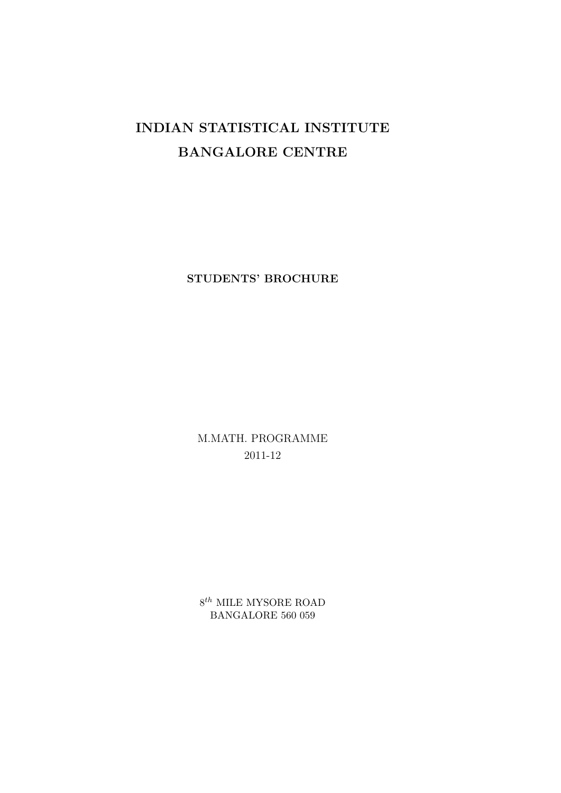# INDIAN STATISTICAL INSTITUTE BANGALORE CENTRE

STUDENTS' BROCHURE

M.MATH. PROGRAMME 2011-12

 $8^{th}$  MILE MYSORE ROAD BANGALORE 560 059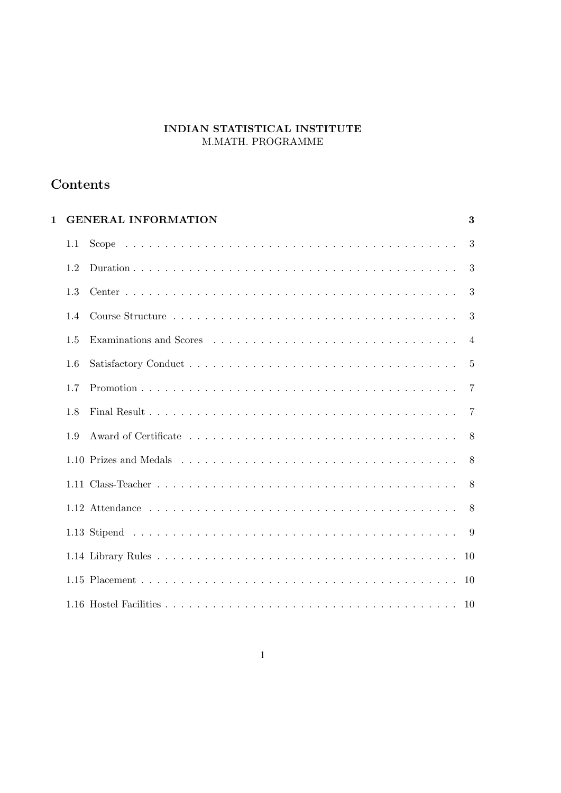# INDIAN STATISTICAL INSTITUTE M.MATH. PROGRAMME

# Contents

| $\mathbf{1}$ |     | <b>GENERAL INFORMATION</b> | 3              |
|--------------|-----|----------------------------|----------------|
|              | 1.1 |                            | 3              |
|              | 1.2 |                            | 3              |
|              | 1.3 |                            | 3              |
|              | 1.4 |                            | 3              |
|              | 1.5 | Examinations and Scores    | $\overline{4}$ |
|              | 1.6 |                            | $\overline{5}$ |
|              | 1.7 |                            | 7              |
|              | 1.8 |                            | 7              |
|              | 1.9 |                            | 8              |
|              |     |                            | 8              |
|              |     |                            | 8              |
|              |     |                            | 8              |
|              |     |                            | 9              |
|              |     |                            | 10             |
|              |     |                            |                |
|              |     |                            |                |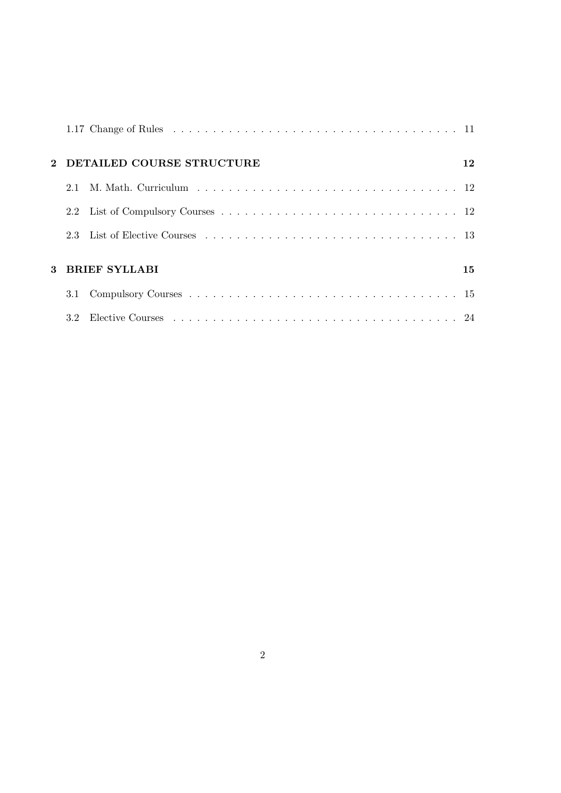|                       | 2 DETAILED COURSE STRUCTURE | 12 |  |  |
|-----------------------|-----------------------------|----|--|--|
| 2.1                   |                             |    |  |  |
|                       |                             |    |  |  |
| 2.3                   |                             |    |  |  |
| 3 BRIEF SYLLABI<br>15 |                             |    |  |  |
|                       |                             |    |  |  |
|                       |                             |    |  |  |
|                       |                             |    |  |  |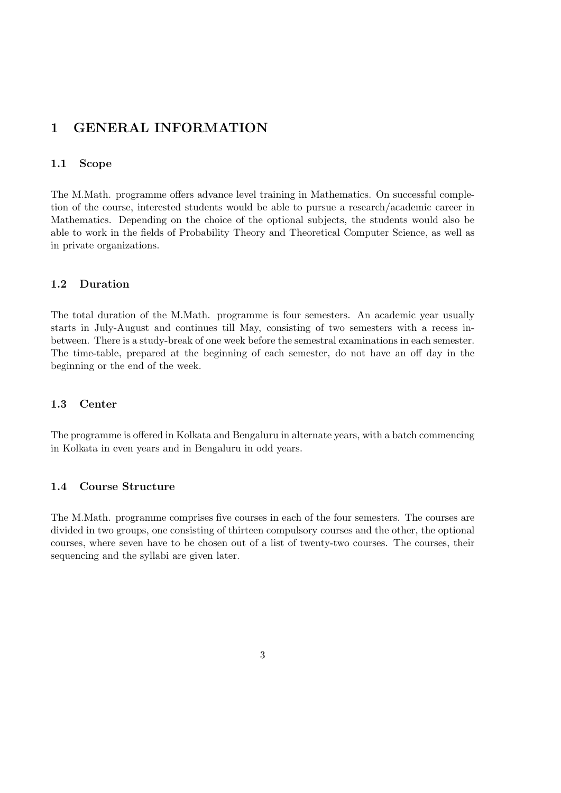# 1 GENERAL INFORMATION

#### 1.1 Scope

The M.Math. programme offers advance level training in Mathematics. On successful completion of the course, interested students would be able to pursue a research/academic career in Mathematics. Depending on the choice of the optional subjects, the students would also be able to work in the fields of Probability Theory and Theoretical Computer Science, as well as in private organizations.

#### 1.2 Duration

The total duration of the M.Math. programme is four semesters. An academic year usually starts in July-August and continues till May, consisting of two semesters with a recess inbetween. There is a study-break of one week before the semestral examinations in each semester. The time-table, prepared at the beginning of each semester, do not have an off day in the beginning or the end of the week.

#### 1.3 Center

The programme is offered in Kolkata and Bengaluru in alternate years, with a batch commencing in Kolkata in even years and in Bengaluru in odd years.

#### 1.4 Course Structure

The M.Math. programme comprises five courses in each of the four semesters. The courses are divided in two groups, one consisting of thirteen compulsory courses and the other, the optional courses, where seven have to be chosen out of a list of twenty-two courses. The courses, their sequencing and the syllabi are given later.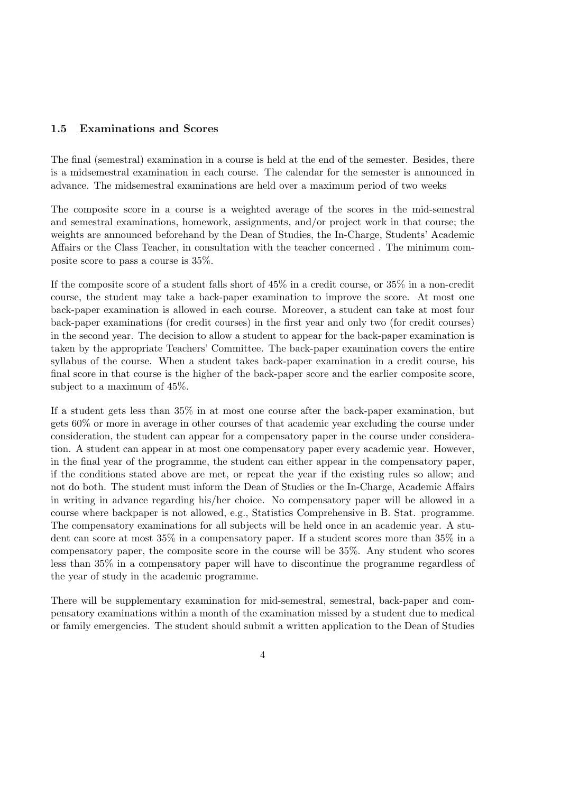#### 1.5 Examinations and Scores

The final (semestral) examination in a course is held at the end of the semester. Besides, there is a midsemestral examination in each course. The calendar for the semester is announced in advance. The midsemestral examinations are held over a maximum period of two weeks

The composite score in a course is a weighted average of the scores in the mid-semestral and semestral examinations, homework, assignments, and/or project work in that course; the weights are announced beforehand by the Dean of Studies, the In-Charge, Students' Academic Affairs or the Class Teacher, in consultation with the teacher concerned . The minimum composite score to pass a course is 35%.

If the composite score of a student falls short of 45% in a credit course, or 35% in a non-credit course, the student may take a back-paper examination to improve the score. At most one back-paper examination is allowed in each course. Moreover, a student can take at most four back-paper examinations (for credit courses) in the first year and only two (for credit courses) in the second year. The decision to allow a student to appear for the back-paper examination is taken by the appropriate Teachers' Committee. The back-paper examination covers the entire syllabus of the course. When a student takes back-paper examination in a credit course, his final score in that course is the higher of the back-paper score and the earlier composite score, subject to a maximum of 45%.

If a student gets less than 35% in at most one course after the back-paper examination, but gets 60% or more in average in other courses of that academic year excluding the course under consideration, the student can appear for a compensatory paper in the course under consideration. A student can appear in at most one compensatory paper every academic year. However, in the final year of the programme, the student can either appear in the compensatory paper, if the conditions stated above are met, or repeat the year if the existing rules so allow; and not do both. The student must inform the Dean of Studies or the In-Charge, Academic Affairs in writing in advance regarding his/her choice. No compensatory paper will be allowed in a course where backpaper is not allowed, e.g., Statistics Comprehensive in B. Stat. programme. The compensatory examinations for all subjects will be held once in an academic year. A student can score at most 35% in a compensatory paper. If a student scores more than 35% in a compensatory paper, the composite score in the course will be 35%. Any student who scores less than 35% in a compensatory paper will have to discontinue the programme regardless of the year of study in the academic programme.

There will be supplementary examination for mid-semestral, semestral, back-paper and compensatory examinations within a month of the examination missed by a student due to medical or family emergencies. The student should submit a written application to the Dean of Studies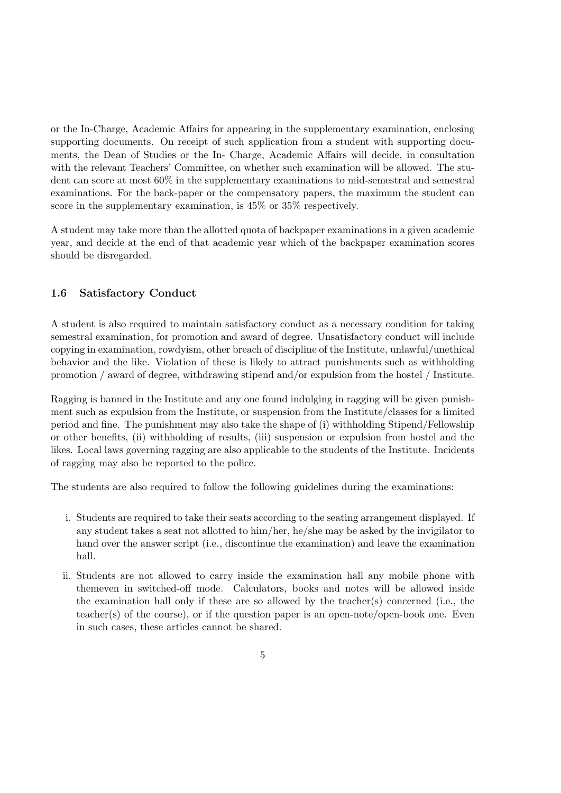or the In-Charge, Academic Affairs for appearing in the supplementary examination, enclosing supporting documents. On receipt of such application from a student with supporting documents, the Dean of Studies or the In- Charge, Academic Affairs will decide, in consultation with the relevant Teachers' Committee, on whether such examination will be allowed. The student can score at most 60% in the supplementary examinations to mid-semestral and semestral examinations. For the back-paper or the compensatory papers, the maximum the student can score in the supplementary examination, is 45% or 35% respectively.

A student may take more than the allotted quota of backpaper examinations in a given academic year, and decide at the end of that academic year which of the backpaper examination scores should be disregarded.

#### 1.6 Satisfactory Conduct

A student is also required to maintain satisfactory conduct as a necessary condition for taking semestral examination, for promotion and award of degree. Unsatisfactory conduct will include copying in examination, rowdyism, other breach of discipline of the Institute, unlawful/unethical behavior and the like. Violation of these is likely to attract punishments such as withholding promotion / award of degree, withdrawing stipend and/or expulsion from the hostel / Institute.

Ragging is banned in the Institute and any one found indulging in ragging will be given punishment such as expulsion from the Institute, or suspension from the Institute/classes for a limited period and fine. The punishment may also take the shape of (i) withholding Stipend/Fellowship or other benefits, (ii) withholding of results, (iii) suspension or expulsion from hostel and the likes. Local laws governing ragging are also applicable to the students of the Institute. Incidents of ragging may also be reported to the police.

The students are also required to follow the following guidelines during the examinations:

- i. Students are required to take their seats according to the seating arrangement displayed. If any student takes a seat not allotted to him/her, he/she may be asked by the invigilator to hand over the answer script (i.e., discontinue the examination) and leave the examination hall.
- ii. Students are not allowed to carry inside the examination hall any mobile phone with themeven in switched-off mode. Calculators, books and notes will be allowed inside the examination hall only if these are so allowed by the teacher(s) concerned (i.e., the teacher(s) of the course), or if the question paper is an open-note/open-book one. Even in such cases, these articles cannot be shared.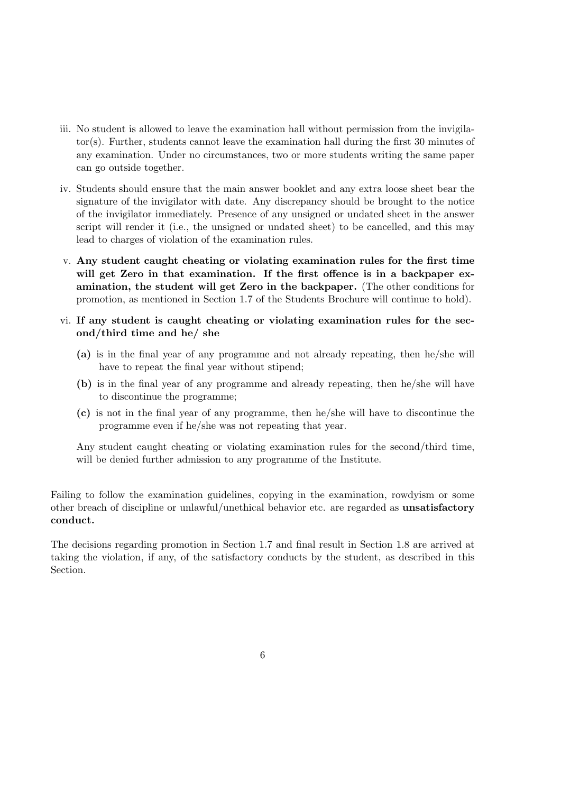- iii. No student is allowed to leave the examination hall without permission from the invigilator(s). Further, students cannot leave the examination hall during the first 30 minutes of any examination. Under no circumstances, two or more students writing the same paper can go outside together.
- iv. Students should ensure that the main answer booklet and any extra loose sheet bear the signature of the invigilator with date. Any discrepancy should be brought to the notice of the invigilator immediately. Presence of any unsigned or undated sheet in the answer script will render it (i.e., the unsigned or undated sheet) to be cancelled, and this may lead to charges of violation of the examination rules.
- v. Any student caught cheating or violating examination rules for the first time will get Zero in that examination. If the first offence is in a backpaper examination, the student will get Zero in the backpaper. (The other conditions for promotion, as mentioned in Section 1.7 of the Students Brochure will continue to hold).
- vi. If any student is caught cheating or violating examination rules for the second/third time and he/ she
	- (a) is in the final year of any programme and not already repeating, then he/she will have to repeat the final year without stipend;
	- (b) is in the final year of any programme and already repeating, then he/she will have to discontinue the programme;
	- (c) is not in the final year of any programme, then he/she will have to discontinue the programme even if he/she was not repeating that year.

Any student caught cheating or violating examination rules for the second/third time, will be denied further admission to any programme of the Institute.

Failing to follow the examination guidelines, copying in the examination, rowdyism or some other breach of discipline or unlawful/unethical behavior etc. are regarded as unsatisfactory conduct.

The decisions regarding promotion in Section 1.7 and final result in Section 1.8 are arrived at taking the violation, if any, of the satisfactory conducts by the student, as described in this Section.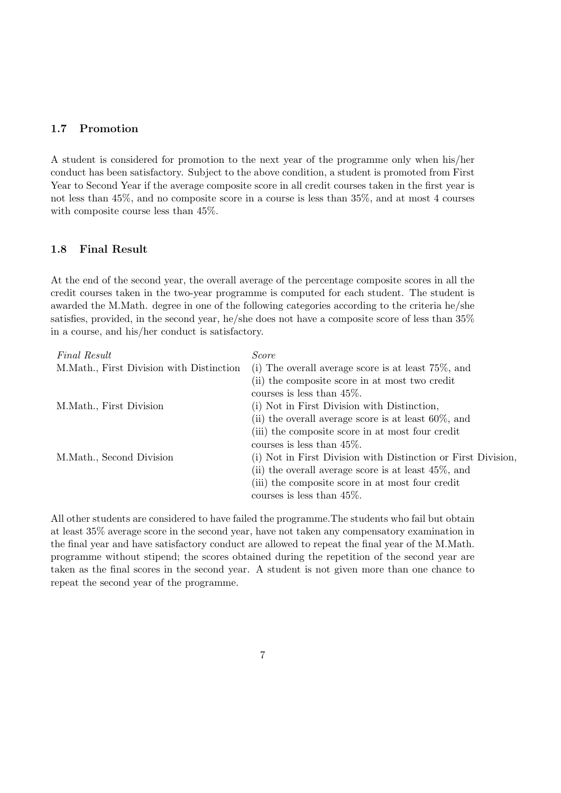#### 1.7 Promotion

A student is considered for promotion to the next year of the programme only when his/her conduct has been satisfactory. Subject to the above condition, a student is promoted from First Year to Second Year if the average composite score in all credit courses taken in the first year is not less than 45%, and no composite score in a course is less than 35%, and at most 4 courses with composite course less than 45%.

#### 1.8 Final Result

At the end of the second year, the overall average of the percentage composite scores in all the credit courses taken in the two-year programme is computed for each student. The student is awarded the M.Math. degree in one of the following categories according to the criteria he/she satisfies, provided, in the second year, he/she does not have a composite score of less than 35% in a course, and his/her conduct is satisfactory.

| Final Result                              | <i>Score</i>                                                  |
|-------------------------------------------|---------------------------------------------------------------|
| M. Math., First Division with Distinction | (i) The overall average score is at least $75\%$ , and        |
|                                           | (ii) the composite score in at most two credit                |
|                                           | courses is less than $45\%$ .                                 |
| M.Math., First Division                   | (i) Not in First Division with Distinction,                   |
|                                           | (ii) the overall average score is at least $60\%$ , and       |
|                                           | (iii) the composite score in at most four credit              |
|                                           | courses is less than $45\%$ .                                 |
| M.Math., Second Division                  | (i) Not in First Division with Distinction or First Division, |
|                                           | (ii) the overall average score is at least $45\%$ , and       |
|                                           | (iii) the composite score in at most four credit              |
|                                           | courses is less than $45\%$ .                                 |

All other students are considered to have failed the programme.The students who fail but obtain at least 35% average score in the second year, have not taken any compensatory examination in the final year and have satisfactory conduct are allowed to repeat the final year of the M.Math. programme without stipend; the scores obtained during the repetition of the second year are taken as the final scores in the second year. A student is not given more than one chance to repeat the second year of the programme.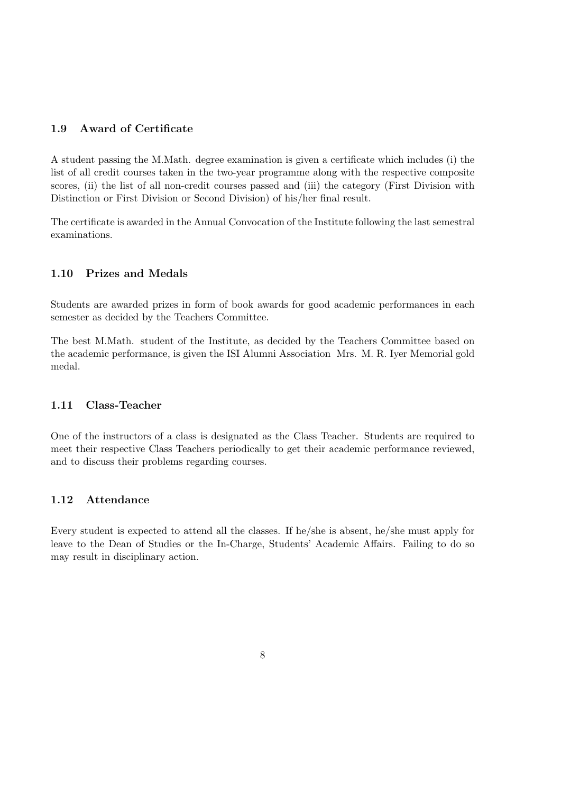#### 1.9 Award of Certificate

A student passing the M.Math. degree examination is given a certificate which includes (i) the list of all credit courses taken in the two-year programme along with the respective composite scores, (ii) the list of all non-credit courses passed and (iii) the category (First Division with Distinction or First Division or Second Division) of his/her final result.

The certificate is awarded in the Annual Convocation of the Institute following the last semestral examinations.

#### 1.10 Prizes and Medals

Students are awarded prizes in form of book awards for good academic performances in each semester as decided by the Teachers Committee.

The best M.Math. student of the Institute, as decided by the Teachers Committee based on the academic performance, is given the ISI Alumni Association Mrs. M. R. Iyer Memorial gold medal.

#### 1.11 Class-Teacher

One of the instructors of a class is designated as the Class Teacher. Students are required to meet their respective Class Teachers periodically to get their academic performance reviewed, and to discuss their problems regarding courses.

#### 1.12 Attendance

Every student is expected to attend all the classes. If he/she is absent, he/she must apply for leave to the Dean of Studies or the In-Charge, Students' Academic Affairs. Failing to do so may result in disciplinary action.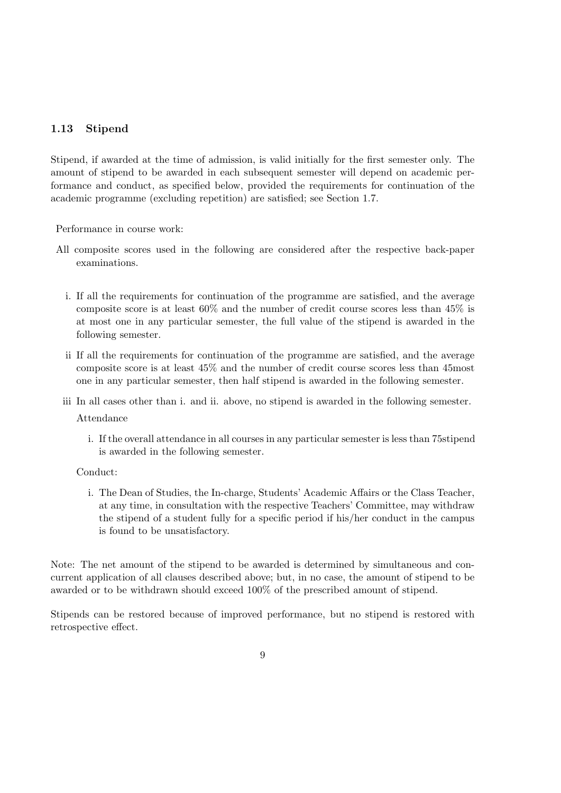### 1.13 Stipend

Stipend, if awarded at the time of admission, is valid initially for the first semester only. The amount of stipend to be awarded in each subsequent semester will depend on academic performance and conduct, as specified below, provided the requirements for continuation of the academic programme (excluding repetition) are satisfied; see Section 1.7.

Performance in course work:

- All composite scores used in the following are considered after the respective back-paper examinations.
	- i. If all the requirements for continuation of the programme are satisfied, and the average composite score is at least 60% and the number of credit course scores less than 45% is at most one in any particular semester, the full value of the stipend is awarded in the following semester.
	- ii If all the requirements for continuation of the programme are satisfied, and the average composite score is at least 45% and the number of credit course scores less than 45most one in any particular semester, then half stipend is awarded in the following semester.

iii In all cases other than i. and ii. above, no stipend is awarded in the following semester.

Attendance

i. If the overall attendance in all courses in any particular semester is less than 75stipend is awarded in the following semester.

#### Conduct:

i. The Dean of Studies, the In-charge, Students' Academic Affairs or the Class Teacher, at any time, in consultation with the respective Teachers' Committee, may withdraw the stipend of a student fully for a specific period if his/her conduct in the campus is found to be unsatisfactory.

Note: The net amount of the stipend to be awarded is determined by simultaneous and concurrent application of all clauses described above; but, in no case, the amount of stipend to be awarded or to be withdrawn should exceed 100% of the prescribed amount of stipend.

Stipends can be restored because of improved performance, but no stipend is restored with retrospective effect.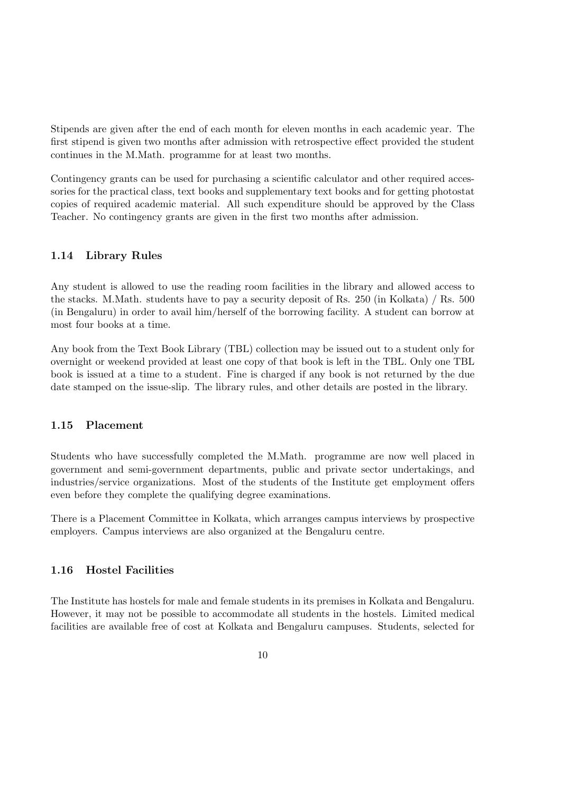Stipends are given after the end of each month for eleven months in each academic year. The first stipend is given two months after admission with retrospective effect provided the student continues in the M.Math. programme for at least two months.

Contingency grants can be used for purchasing a scientific calculator and other required accessories for the practical class, text books and supplementary text books and for getting photostat copies of required academic material. All such expenditure should be approved by the Class Teacher. No contingency grants are given in the first two months after admission.

#### 1.14 Library Rules

Any student is allowed to use the reading room facilities in the library and allowed access to the stacks. M.Math. students have to pay a security deposit of Rs. 250 (in Kolkata) / Rs. 500 (in Bengaluru) in order to avail him/herself of the borrowing facility. A student can borrow at most four books at a time.

Any book from the Text Book Library (TBL) collection may be issued out to a student only for overnight or weekend provided at least one copy of that book is left in the TBL. Only one TBL book is issued at a time to a student. Fine is charged if any book is not returned by the due date stamped on the issue-slip. The library rules, and other details are posted in the library.

#### 1.15 Placement

Students who have successfully completed the M.Math. programme are now well placed in government and semi-government departments, public and private sector undertakings, and industries/service organizations. Most of the students of the Institute get employment offers even before they complete the qualifying degree examinations.

There is a Placement Committee in Kolkata, which arranges campus interviews by prospective employers. Campus interviews are also organized at the Bengaluru centre.

#### 1.16 Hostel Facilities

The Institute has hostels for male and female students in its premises in Kolkata and Bengaluru. However, it may not be possible to accommodate all students in the hostels. Limited medical facilities are available free of cost at Kolkata and Bengaluru campuses. Students, selected for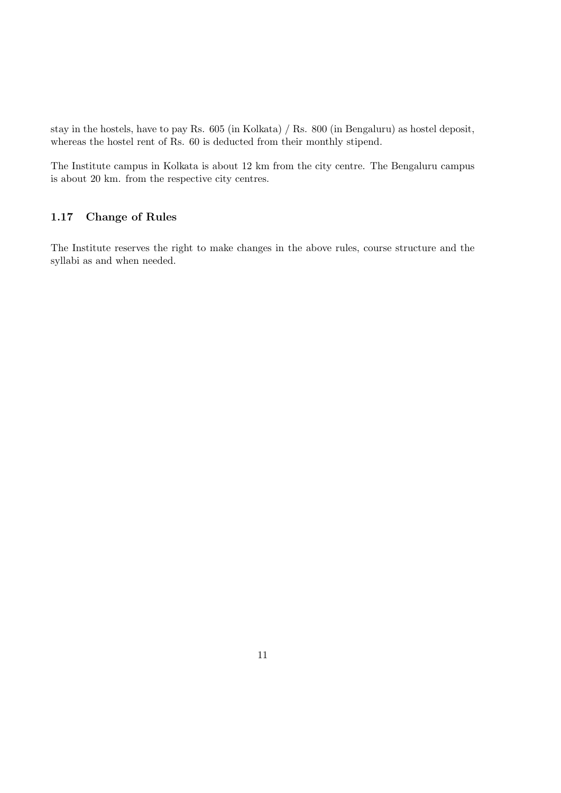stay in the hostels, have to pay Rs. 605 (in Kolkata) / Rs. 800 (in Bengaluru) as hostel deposit, whereas the hostel rent of Rs. 60 is deducted from their monthly stipend.

The Institute campus in Kolkata is about 12 km from the city centre. The Bengaluru campus is about 20 km. from the respective city centres.

### 1.17 Change of Rules

The Institute reserves the right to make changes in the above rules, course structure and the syllabi as and when needed.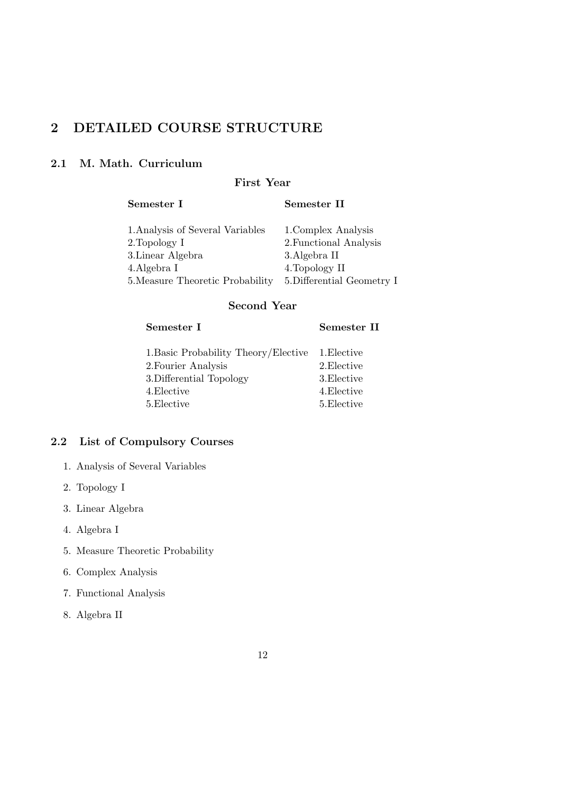# 2 DETAILED COURSE STRUCTURE

# 2.1 M. Math. Curriculum

# First Year

# Semester I Semester II

| 1. Analysis of Several Variables | 1. Complex Analysis        |
|----------------------------------|----------------------------|
| 2. Topology I                    | 2. Functional Analysis     |
| 3. Linear Algebra                | 3. Algebra II              |
| 4. Algebra I                     | 4. Topology II             |
| 5. Measure Theoretic Probability | 5. Differential Geometry I |

## Second Year

# Semester I Semester II

| 1. Basic Probability Theory/Elective 1. Elective |             |
|--------------------------------------------------|-------------|
| 2. Fourier Analysis                              | 2. Elective |
| 3. Differential Topology                         | 3. Elective |
| 4.Elective                                       | 4. Elective |
| 5.Elective                                       | 5. Elective |

# 2.2 List of Compulsory Courses

- 1. Analysis of Several Variables
- 2. Topology I
- 3. Linear Algebra
- 4. Algebra I
- 5. Measure Theoretic Probability
- 6. Complex Analysis
- 7. Functional Analysis
- 8. Algebra II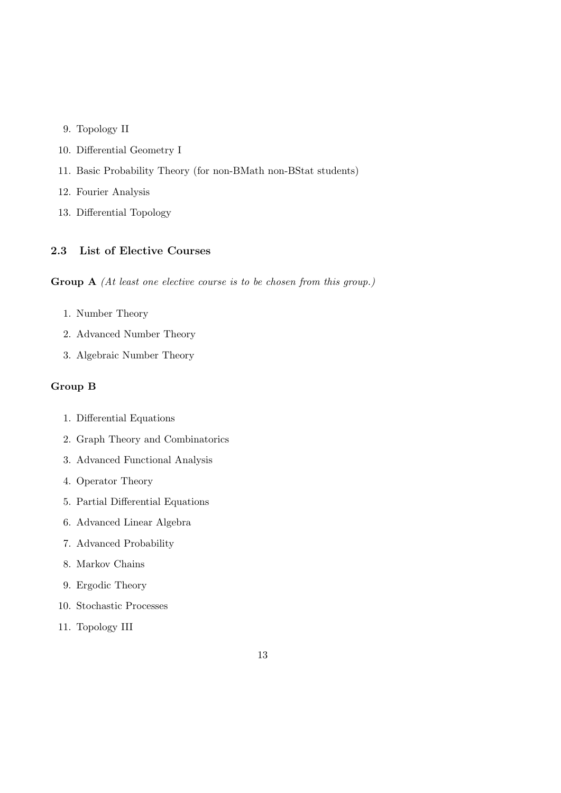- 9. Topology II
- 10. Differential Geometry I
- 11. Basic Probability Theory (for non-BMath non-BStat students)
- 12. Fourier Analysis
- 13. Differential Topology

#### 2.3 List of Elective Courses

Group A (At least one elective course is to be chosen from this group.)

- 1. Number Theory
- 2. Advanced Number Theory
- 3. Algebraic Number Theory

#### Group B

- 1. Differential Equations
- 2. Graph Theory and Combinatorics
- 3. Advanced Functional Analysis
- 4. Operator Theory
- 5. Partial Differential Equations
- 6. Advanced Linear Algebra
- 7. Advanced Probability
- 8. Markov Chains
- 9. Ergodic Theory
- 10. Stochastic Processes
- 11. Topology III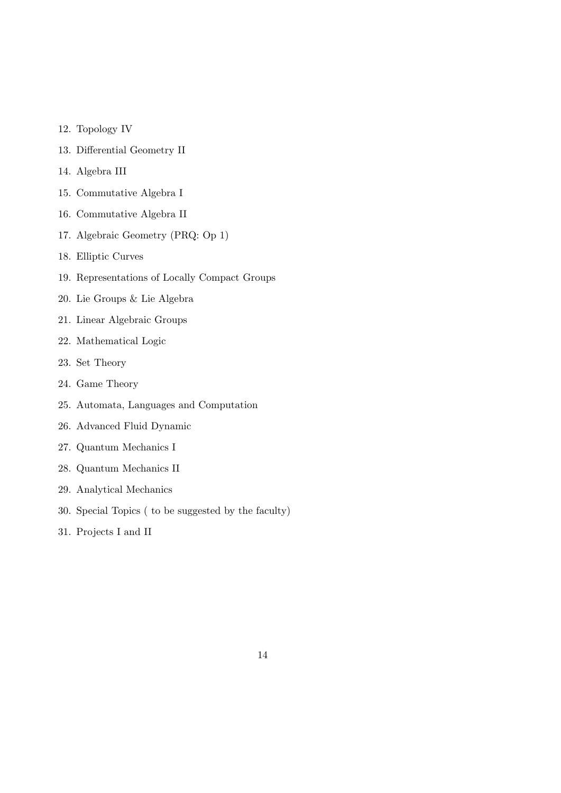- 12. Topology IV
- 13. Differential Geometry II
- 14. Algebra III
- 15. Commutative Algebra I
- 16. Commutative Algebra II
- 17. Algebraic Geometry (PRQ: Op 1)
- 18. Elliptic Curves
- 19. Representations of Locally Compact Groups
- 20. Lie Groups & Lie Algebra
- 21. Linear Algebraic Groups
- 22. Mathematical Logic
- 23. Set Theory
- 24. Game Theory
- 25. Automata, Languages and Computation
- 26. Advanced Fluid Dynamic
- 27. Quantum Mechanics I
- 28. Quantum Mechanics II
- 29. Analytical Mechanics
- 30. Special Topics ( to be suggested by the faculty)
- 31. Projects I and II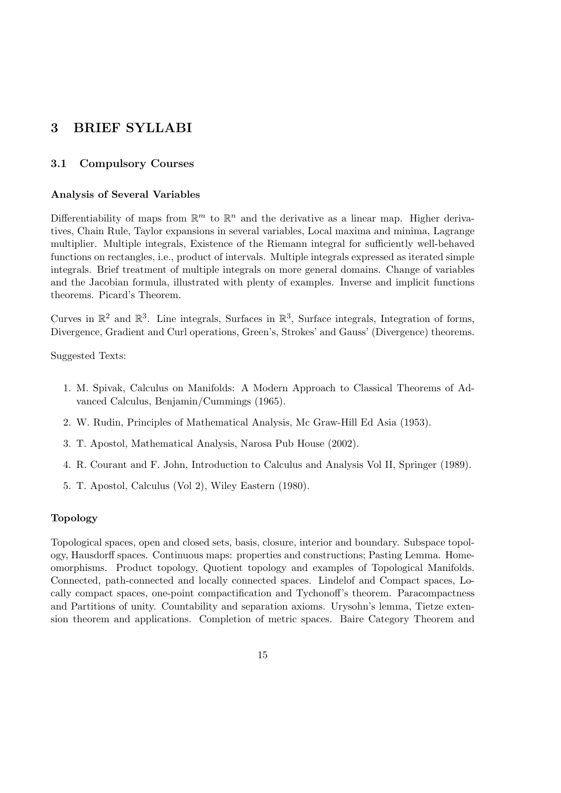# 3 BRIEF SYLLABI

#### 3.1 Compulsory Courses

#### Analysis of Several Variables

Differentiability of maps from  $\mathbb{R}^m$  to  $\mathbb{R}^n$  and the derivative as a linear map. Higher derivatives, Chain Rule, Taylor expansions in several variables, Local maxima and minima, Lagrange multiplier. Multiple integrals, Existence of the Riemann integral for sufficiently well-behaved functions on rectangles, i.e., product of intervals. Multiple integrals expressed as iterated simple integrals. Brief treatment of multiple integrals on more general domains. Change of variables and the Jacobian formula, illustrated with plenty of examples. Inverse and implicit functions theorems. Picard's Theorem.

Curves in  $\mathbb{R}^2$  and  $\mathbb{R}^3$ . Line integrals, Surfaces in  $\mathbb{R}^3$ , Surface integrals, Integration of forms, Divergence, Gradient and Curl operations, Green's, Strokes' and Gauss' (Divergence) theorems.

Suggested Texts:

- 1. M. Spivak, Calculus on Manifolds: A Modern Approach to Classical Theorems of Advanced Calculus, Benjamin/Cummings (1965).
- 2. W. Rudin, Principles of Mathematical Analysis, Mc Graw-Hill Ed Asia (1953).
- 3. T. Apostol, Mathematical Analysis, Narosa Pub House (2002).
- 4. R. Courant and F. John, Introduction to Calculus and Analysis Vol II, Springer (1989).
- 5. T. Apostol, Calculus (Vol 2), Wiley Eastern (1980).

#### Topology

Topological spaces, open and closed sets, basis, closure, interior and boundary. Subspace topology, Hausdorff spaces. Continuous maps: properties and constructions; Pasting Lemma. Homeomorphisms. Product topology, Quotient topology and examples of Topological Manifolds. Connected, path-connected and locally connected spaces. Lindelof and Compact spaces, Locally compact spaces, one-point compactification and Tychonoff's theorem. Paracompactness and Partitions of unity. Countability and separation axioms. Urysohn's lemma, Tietze extension theorem and applications. Completion of metric spaces. Baire Category Theorem and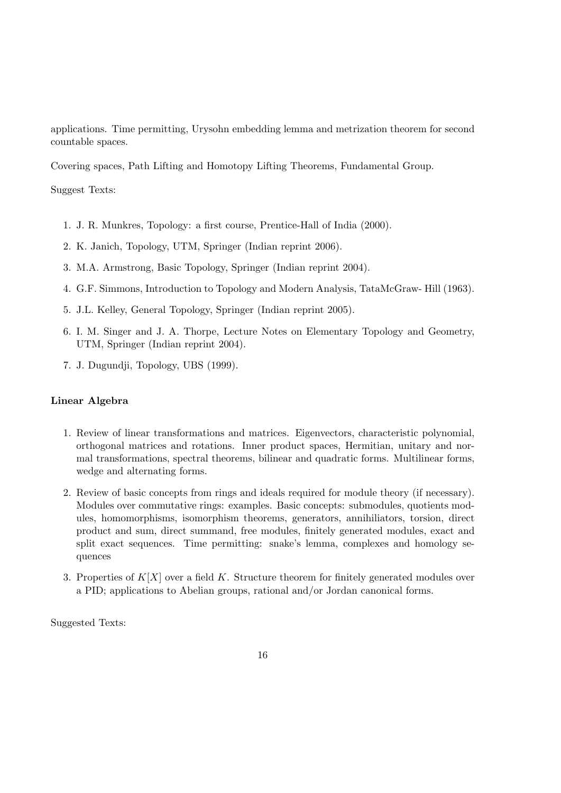applications. Time permitting, Urysohn embedding lemma and metrization theorem for second countable spaces.

Covering spaces, Path Lifting and Homotopy Lifting Theorems, Fundamental Group.

Suggest Texts:

- 1. J. R. Munkres, Topology: a first course, Prentice-Hall of India (2000).
- 2. K. Janich, Topology, UTM, Springer (Indian reprint 2006).
- 3. M.A. Armstrong, Basic Topology, Springer (Indian reprint 2004).
- 4. G.F. Simmons, Introduction to Topology and Modern Analysis, TataMcGraw- Hill (1963).
- 5. J.L. Kelley, General Topology, Springer (Indian reprint 2005).
- 6. I. M. Singer and J. A. Thorpe, Lecture Notes on Elementary Topology and Geometry, UTM, Springer (Indian reprint 2004).
- 7. J. Dugundji, Topology, UBS (1999).

#### Linear Algebra

- 1. Review of linear transformations and matrices. Eigenvectors, characteristic polynomial, orthogonal matrices and rotations. Inner product spaces, Hermitian, unitary and normal transformations, spectral theorems, bilinear and quadratic forms. Multilinear forms, wedge and alternating forms.
- 2. Review of basic concepts from rings and ideals required for module theory (if necessary). Modules over commutative rings: examples. Basic concepts: submodules, quotients modules, homomorphisms, isomorphism theorems, generators, annihiliators, torsion, direct product and sum, direct summand, free modules, finitely generated modules, exact and split exact sequences. Time permitting: snake's lemma, complexes and homology sequences
- 3. Properties of  $K[X]$  over a field K. Structure theorem for finitely generated modules over a PID; applications to Abelian groups, rational and/or Jordan canonical forms.

Suggested Texts: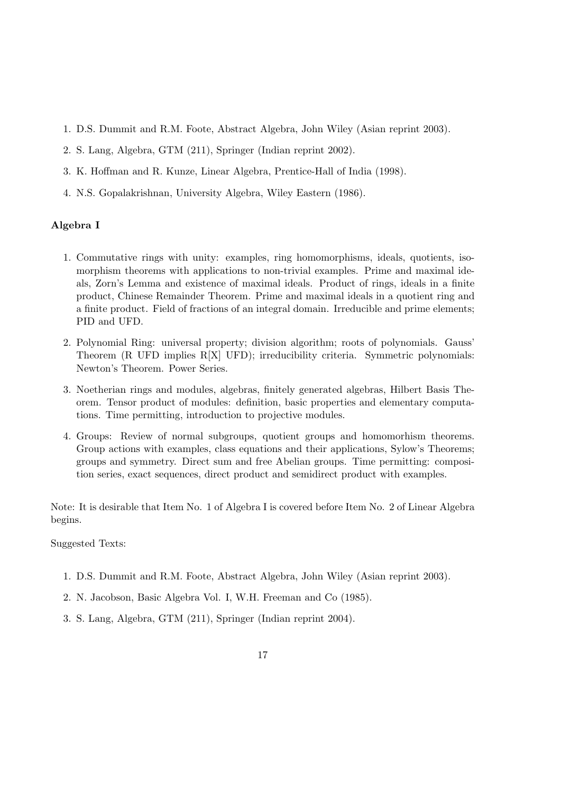- 1. D.S. Dummit and R.M. Foote, Abstract Algebra, John Wiley (Asian reprint 2003).
- 2. S. Lang, Algebra, GTM (211), Springer (Indian reprint 2002).
- 3. K. Hoffman and R. Kunze, Linear Algebra, Prentice-Hall of India (1998).
- 4. N.S. Gopalakrishnan, University Algebra, Wiley Eastern (1986).

#### Algebra I

- 1. Commutative rings with unity: examples, ring homomorphisms, ideals, quotients, isomorphism theorems with applications to non-trivial examples. Prime and maximal ideals, Zorn's Lemma and existence of maximal ideals. Product of rings, ideals in a finite product, Chinese Remainder Theorem. Prime and maximal ideals in a quotient ring and a finite product. Field of fractions of an integral domain. Irreducible and prime elements; PID and UFD.
- 2. Polynomial Ring: universal property; division algorithm; roots of polynomials. Gauss' Theorem (R UFD implies R[X] UFD); irreducibility criteria. Symmetric polynomials: Newton's Theorem. Power Series.
- 3. Noetherian rings and modules, algebras, finitely generated algebras, Hilbert Basis Theorem. Tensor product of modules: definition, basic properties and elementary computations. Time permitting, introduction to projective modules.
- 4. Groups: Review of normal subgroups, quotient groups and homomorhism theorems. Group actions with examples, class equations and their applications, Sylow's Theorems; groups and symmetry. Direct sum and free Abelian groups. Time permitting: composition series, exact sequences, direct product and semidirect product with examples.

Note: It is desirable that Item No. 1 of Algebra I is covered before Item No. 2 of Linear Algebra begins.

Suggested Texts:

- 1. D.S. Dummit and R.M. Foote, Abstract Algebra, John Wiley (Asian reprint 2003).
- 2. N. Jacobson, Basic Algebra Vol. I, W.H. Freeman and Co (1985).
- 3. S. Lang, Algebra, GTM (211), Springer (Indian reprint 2004).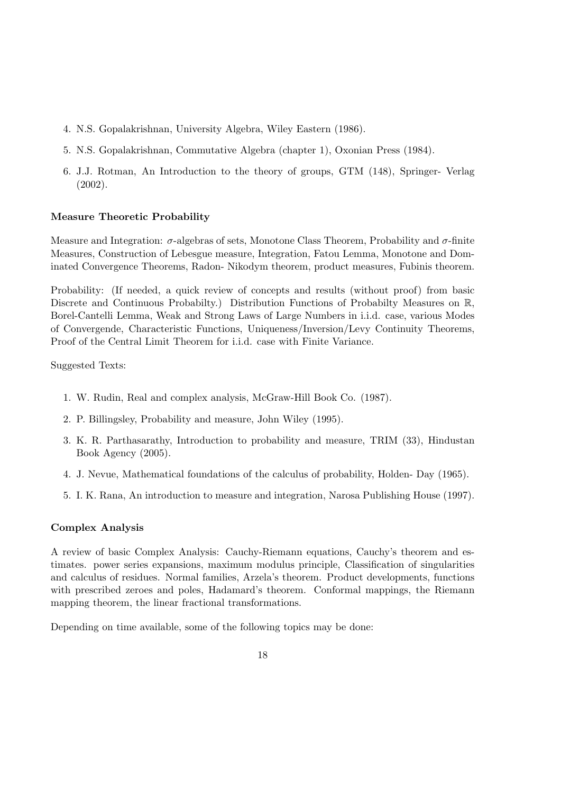- 4. N.S. Gopalakrishnan, University Algebra, Wiley Eastern (1986).
- 5. N.S. Gopalakrishnan, Commutative Algebra (chapter 1), Oxonian Press (1984).
- 6. J.J. Rotman, An Introduction to the theory of groups, GTM (148), Springer- Verlag (2002).

#### Measure Theoretic Probability

Measure and Integration:  $\sigma$ -algebras of sets, Monotone Class Theorem, Probability and  $\sigma$ -finite Measures, Construction of Lebesgue measure, Integration, Fatou Lemma, Monotone and Dominated Convergence Theorems, Radon- Nikodym theorem, product measures, Fubinis theorem.

Probability: (If needed, a quick review of concepts and results (without proof) from basic Discrete and Continuous Probabilty.) Distribution Functions of Probabilty Measures on R, Borel-Cantelli Lemma, Weak and Strong Laws of Large Numbers in i.i.d. case, various Modes of Convergende, Characteristic Functions, Uniqueness/Inversion/Levy Continuity Theorems, Proof of the Central Limit Theorem for i.i.d. case with Finite Variance.

Suggested Texts:

- 1. W. Rudin, Real and complex analysis, McGraw-Hill Book Co. (1987).
- 2. P. Billingsley, Probability and measure, John Wiley (1995).
- 3. K. R. Parthasarathy, Introduction to probability and measure, TRIM (33), Hindustan Book Agency (2005).
- 4. J. Nevue, Mathematical foundations of the calculus of probability, Holden- Day (1965).
- 5. I. K. Rana, An introduction to measure and integration, Narosa Publishing House (1997).

#### Complex Analysis

A review of basic Complex Analysis: Cauchy-Riemann equations, Cauchy's theorem and estimates. power series expansions, maximum modulus principle, Classification of singularities and calculus of residues. Normal families, Arzela's theorem. Product developments, functions with prescribed zeroes and poles, Hadamard's theorem. Conformal mappings, the Riemann mapping theorem, the linear fractional transformations.

Depending on time available, some of the following topics may be done: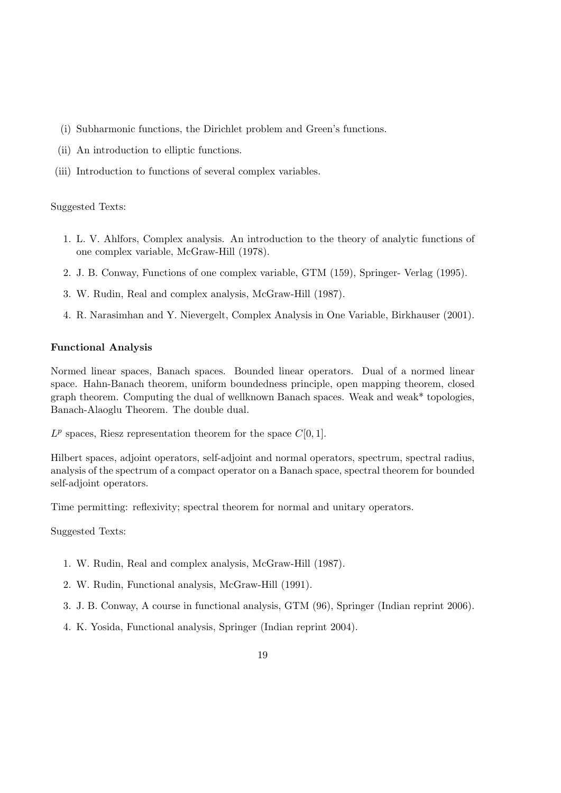- (i) Subharmonic functions, the Dirichlet problem and Green's functions.
- (ii) An introduction to elliptic functions.
- (iii) Introduction to functions of several complex variables.

- 1. L. V. Ahlfors, Complex analysis. An introduction to the theory of analytic functions of one complex variable, McGraw-Hill (1978).
- 2. J. B. Conway, Functions of one complex variable, GTM (159), Springer- Verlag (1995).
- 3. W. Rudin, Real and complex analysis, McGraw-Hill (1987).
- 4. R. Narasimhan and Y. Nievergelt, Complex Analysis in One Variable, Birkhauser (2001).

#### Functional Analysis

Normed linear spaces, Banach spaces. Bounded linear operators. Dual of a normed linear space. Hahn-Banach theorem, uniform boundedness principle, open mapping theorem, closed graph theorem. Computing the dual of wellknown Banach spaces. Weak and weak\* topologies, Banach-Alaoglu Theorem. The double dual.

 $L^p$  spaces, Riesz representation theorem for the space  $C[0, 1]$ .

Hilbert spaces, adjoint operators, self-adjoint and normal operators, spectrum, spectral radius, analysis of the spectrum of a compact operator on a Banach space, spectral theorem for bounded self-adjoint operators.

Time permitting: reflexivity; spectral theorem for normal and unitary operators.

Suggested Texts:

- 1. W. Rudin, Real and complex analysis, McGraw-Hill (1987).
- 2. W. Rudin, Functional analysis, McGraw-Hill (1991).
- 3. J. B. Conway, A course in functional analysis, GTM (96), Springer (Indian reprint 2006).
- 4. K. Yosida, Functional analysis, Springer (Indian reprint 2004).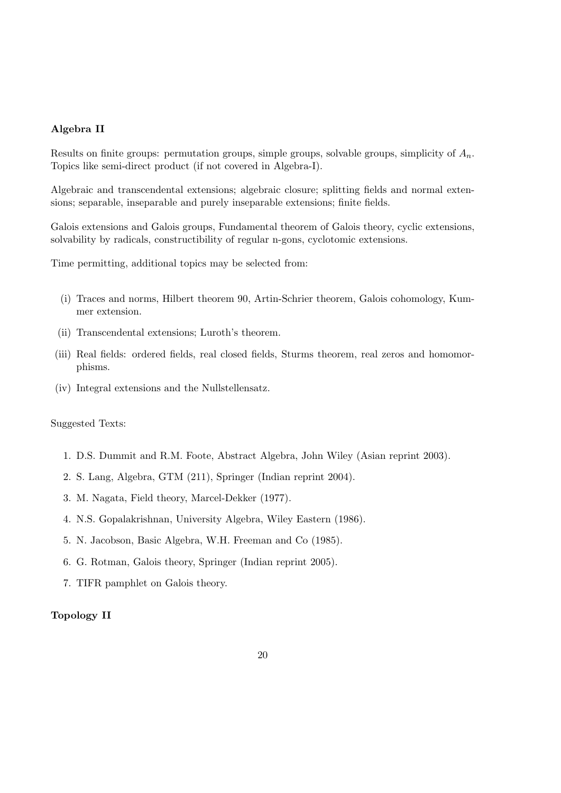#### Algebra II

Results on finite groups: permutation groups, simple groups, solvable groups, simplicity of  $A_n$ . Topics like semi-direct product (if not covered in Algebra-I).

Algebraic and transcendental extensions; algebraic closure; splitting fields and normal extensions; separable, inseparable and purely inseparable extensions; finite fields.

Galois extensions and Galois groups, Fundamental theorem of Galois theory, cyclic extensions, solvability by radicals, constructibility of regular n-gons, cyclotomic extensions.

Time permitting, additional topics may be selected from:

- (i) Traces and norms, Hilbert theorem 90, Artin-Schrier theorem, Galois cohomology, Kummer extension.
- (ii) Transcendental extensions; Luroth's theorem.
- (iii) Real fields: ordered fields, real closed fields, Sturms theorem, real zeros and homomorphisms.
- (iv) Integral extensions and the Nullstellensatz.

Suggested Texts:

- 1. D.S. Dummit and R.M. Foote, Abstract Algebra, John Wiley (Asian reprint 2003).
- 2. S. Lang, Algebra, GTM (211), Springer (Indian reprint 2004).
- 3. M. Nagata, Field theory, Marcel-Dekker (1977).
- 4. N.S. Gopalakrishnan, University Algebra, Wiley Eastern (1986).
- 5. N. Jacobson, Basic Algebra, W.H. Freeman and Co (1985).
- 6. G. Rotman, Galois theory, Springer (Indian reprint 2005).
- 7. TIFR pamphlet on Galois theory.

#### Topology II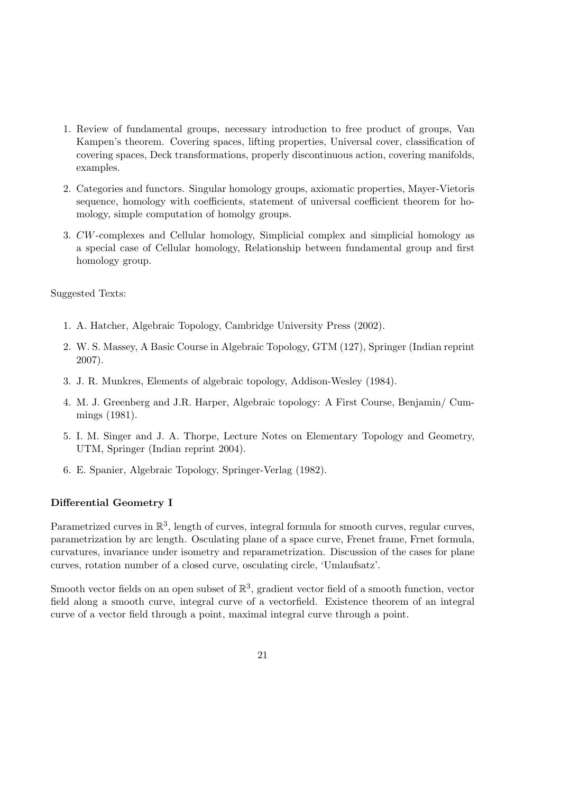- 1. Review of fundamental groups, necessary introduction to free product of groups, Van Kampen's theorem. Covering spaces, lifting properties, Universal cover, classification of covering spaces, Deck transformations, properly discontinuous action, covering manifolds, examples.
- 2. Categories and functors. Singular homology groups, axiomatic properties, Mayer-Vietoris sequence, homology with coefficients, statement of universal coefficient theorem for homology, simple computation of homolgy groups.
- 3. CW-complexes and Cellular homology, Simplicial complex and simplicial homology as a special case of Cellular homology, Relationship between fundamental group and first homology group.

- 1. A. Hatcher, Algebraic Topology, Cambridge University Press (2002).
- 2. W. S. Massey, A Basic Course in Algebraic Topology, GTM (127), Springer (Indian reprint 2007).
- 3. J. R. Munkres, Elements of algebraic topology, Addison-Wesley (1984).
- 4. M. J. Greenberg and J.R. Harper, Algebraic topology: A First Course, Benjamin/ Cummings (1981).
- 5. I. M. Singer and J. A. Thorpe, Lecture Notes on Elementary Topology and Geometry, UTM, Springer (Indian reprint 2004).
- 6. E. Spanier, Algebraic Topology, Springer-Verlag (1982).

#### Differential Geometry I

Parametrized curves in  $\mathbb{R}^3$ , length of curves, integral formula for smooth curves, regular curves, parametrization by arc length. Osculating plane of a space curve, Frenet frame, Frnet formula, curvatures, invariance under isometry and reparametrization. Discussion of the cases for plane curves, rotation number of a closed curve, osculating circle, 'Umlaufsatz'.

Smooth vector fields on an open subset of  $\mathbb{R}^3$ , gradient vector field of a smooth function, vector field along a smooth curve, integral curve of a vectorfield. Existence theorem of an integral curve of a vector field through a point, maximal integral curve through a point.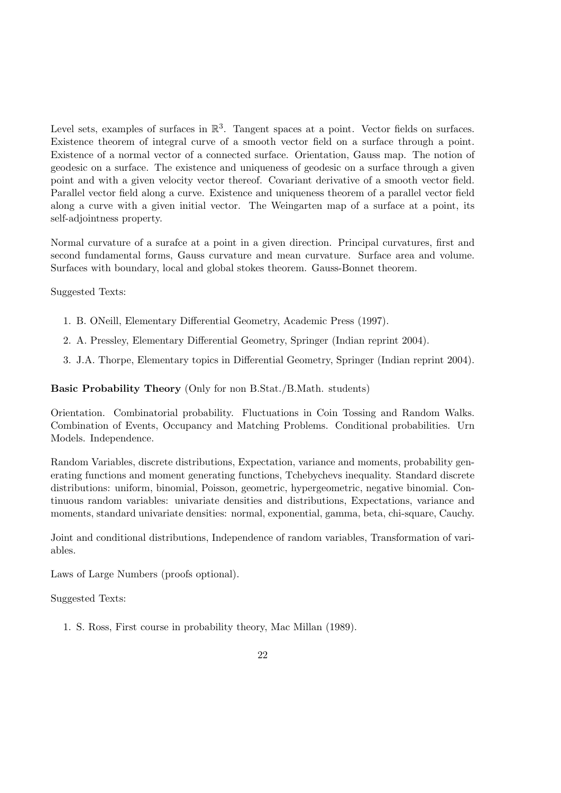Level sets, examples of surfaces in  $\mathbb{R}^3$ . Tangent spaces at a point. Vector fields on surfaces. Existence theorem of integral curve of a smooth vector field on a surface through a point. Existence of a normal vector of a connected surface. Orientation, Gauss map. The notion of geodesic on a surface. The existence and uniqueness of geodesic on a surface through a given point and with a given velocity vector thereof. Covariant derivative of a smooth vector field. Parallel vector field along a curve. Existence and uniqueness theorem of a parallel vector field along a curve with a given initial vector. The Weingarten map of a surface at a point, its self-adjointness property.

Normal curvature of a surafce at a point in a given direction. Principal curvatures, first and second fundamental forms, Gauss curvature and mean curvature. Surface area and volume. Surfaces with boundary, local and global stokes theorem. Gauss-Bonnet theorem.

Suggested Texts:

- 1. B. ONeill, Elementary Differential Geometry, Academic Press (1997).
- 2. A. Pressley, Elementary Differential Geometry, Springer (Indian reprint 2004).
- 3. J.A. Thorpe, Elementary topics in Differential Geometry, Springer (Indian reprint 2004).

Basic Probability Theory (Only for non B.Stat./B.Math. students)

Orientation. Combinatorial probability. Fluctuations in Coin Tossing and Random Walks. Combination of Events, Occupancy and Matching Problems. Conditional probabilities. Urn Models. Independence.

Random Variables, discrete distributions, Expectation, variance and moments, probability generating functions and moment generating functions, Tchebychevs inequality. Standard discrete distributions: uniform, binomial, Poisson, geometric, hypergeometric, negative binomial. Continuous random variables: univariate densities and distributions, Expectations, variance and moments, standard univariate densities: normal, exponential, gamma, beta, chi-square, Cauchy.

Joint and conditional distributions, Independence of random variables, Transformation of variables.

Laws of Large Numbers (proofs optional).

Suggested Texts:

1. S. Ross, First course in probability theory, Mac Millan (1989).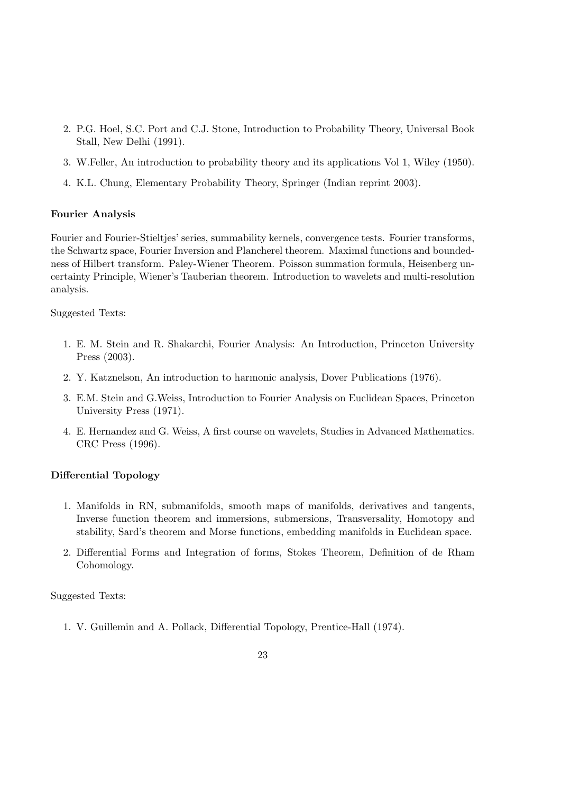- 2. P.G. Hoel, S.C. Port and C.J. Stone, Introduction to Probability Theory, Universal Book Stall, New Delhi (1991).
- 3. W.Feller, An introduction to probability theory and its applications Vol 1, Wiley (1950).
- 4. K.L. Chung, Elementary Probability Theory, Springer (Indian reprint 2003).

#### Fourier Analysis

Fourier and Fourier-Stieltjes' series, summability kernels, convergence tests. Fourier transforms, the Schwartz space, Fourier Inversion and Plancherel theorem. Maximal functions and boundedness of Hilbert transform. Paley-Wiener Theorem. Poisson summation formula, Heisenberg uncertainty Principle, Wiener's Tauberian theorem. Introduction to wavelets and multi-resolution analysis.

Suggested Texts:

- 1. E. M. Stein and R. Shakarchi, Fourier Analysis: An Introduction, Princeton University Press (2003).
- 2. Y. Katznelson, An introduction to harmonic analysis, Dover Publications (1976).
- 3. E.M. Stein and G.Weiss, Introduction to Fourier Analysis on Euclidean Spaces, Princeton University Press (1971).
- 4. E. Hernandez and G. Weiss, A first course on wavelets, Studies in Advanced Mathematics. CRC Press (1996).

#### Differential Topology

- 1. Manifolds in RN, submanifolds, smooth maps of manifolds, derivatives and tangents, Inverse function theorem and immersions, submersions, Transversality, Homotopy and stability, Sard's theorem and Morse functions, embedding manifolds in Euclidean space.
- 2. Differential Forms and Integration of forms, Stokes Theorem, Definition of de Rham Cohomology.

Suggested Texts:

1. V. Guillemin and A. Pollack, Differential Topology, Prentice-Hall (1974).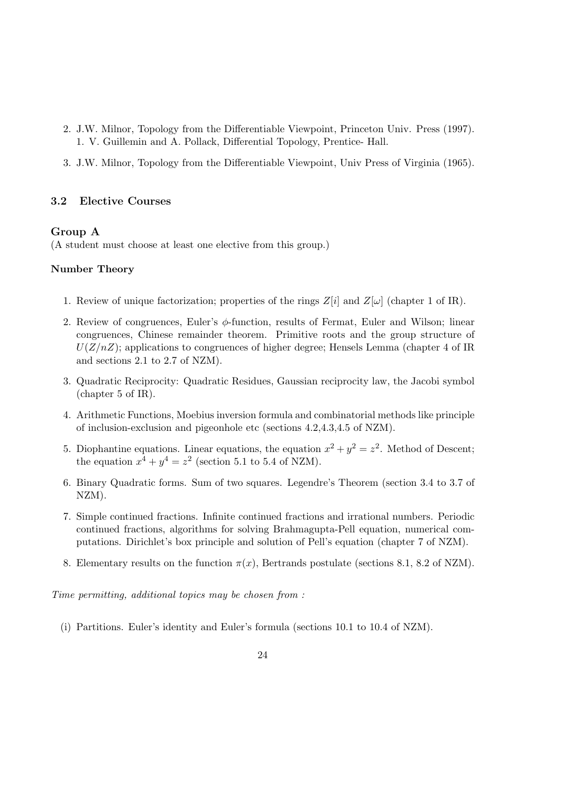- 2. J.W. Milnor, Topology from the Differentiable Viewpoint, Princeton Univ. Press (1997). 1. V. Guillemin and A. Pollack, Differential Topology, Prentice- Hall.
- 3. J.W. Milnor, Topology from the Differentiable Viewpoint, Univ Press of Virginia (1965).

#### 3.2 Elective Courses

#### Group A

(A student must choose at least one elective from this group.)

#### Number Theory

- 1. Review of unique factorization; properties of the rings  $Z[i]$  and  $Z[\omega]$  (chapter 1 of IR).
- 2. Review of congruences, Euler's  $\phi$ -function, results of Fermat, Euler and Wilson; linear congruences, Chinese remainder theorem. Primitive roots and the group structure of  $U(Z/nZ)$ ; applications to congruences of higher degree; Hensels Lemma (chapter 4 of IR and sections 2.1 to 2.7 of NZM).
- 3. Quadratic Reciprocity: Quadratic Residues, Gaussian reciprocity law, the Jacobi symbol (chapter 5 of IR).
- 4. Arithmetic Functions, Moebius inversion formula and combinatorial methods like principle of inclusion-exclusion and pigeonhole etc (sections 4.2,4.3,4.5 of NZM).
- 5. Diophantine equations. Linear equations, the equation  $x^2 + y^2 = z^2$ . Method of Descent; the equation  $x^4 + y^4 = z^2$  (section 5.1 to 5.4 of NZM).
- 6. Binary Quadratic forms. Sum of two squares. Legendre's Theorem (section 3.4 to 3.7 of NZM).
- 7. Simple continued fractions. Infinite continued fractions and irrational numbers. Periodic continued fractions, algorithms for solving Brahmagupta-Pell equation, numerical computations. Dirichlet's box principle and solution of Pell's equation (chapter 7 of NZM).
- 8. Elementary results on the function  $\pi(x)$ , Bertrands postulate (sections 8.1, 8.2 of NZM).

Time permitting, additional topics may be chosen from :

(i) Partitions. Euler's identity and Euler's formula (sections 10.1 to 10.4 of NZM).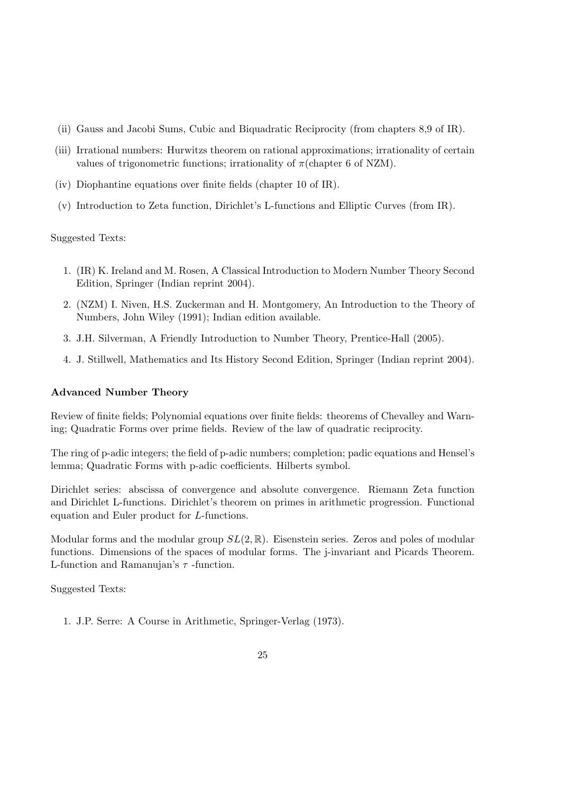- (ii) Gauss and Jacobi Sums, Cubic and Biquadratic Reciprocity (from chapters 8,9 of IR).
- (iii) Irrational numbers: Hurwitzs theorem on rational approximations; irrationality of certain values of trigonometric functions; irrationality of  $\pi$ (chapter 6 of NZM).
- (iv) Diophantine equations over finite fields (chapter 10 of IR).
- (v) Introduction to Zeta function, Dirichlet's L-functions and Elliptic Curves (from IR).

- 1. (IR) K. Ireland and M. Rosen, A Classical Introduction to Modern Number Theory Second Edition, Springer (Indian reprint 2004).
- 2. (NZM) I. Niven, H.S. Zuckerman and H. Montgomery, An Introduction to the Theory of Numbers, John Wiley (1991); Indian edition available.
- 3. J.H. Silverman, A Friendly Introduction to Number Theory, Prentice-Hall (2005).
- 4. J. Stillwell, Mathematics and Its History Second Edition, Springer (Indian reprint 2004).

#### Advanced Number Theory

Review of finite fields; Polynomial equations over finite fields: theorems of Chevalley and Warning; Quadratic Forms over prime fields. Review of the law of quadratic reciprocity.

The ring of p-adic integers; the field of p-adic numbers; completion; padic equations and Hensel's lemma; Quadratic Forms with p-adic coefficients. Hilberts symbol.

Dirichlet series: abscissa of convergence and absolute convergence. Riemann Zeta function and Dirichlet L-functions. Dirichlet's theorem on primes in arithmetic progression. Functional equation and Euler product for L-functions.

Modular forms and the modular group  $SL(2,\mathbb{R})$ . Eisenstein series. Zeros and poles of modular functions. Dimensions of the spaces of modular forms. The j-invariant and Picards Theorem. L-function and Ramanujan's  $\tau$ -function.

Suggested Texts:

1. J.P. Serre: A Course in Arithmetic, Springer-Verlag (1973).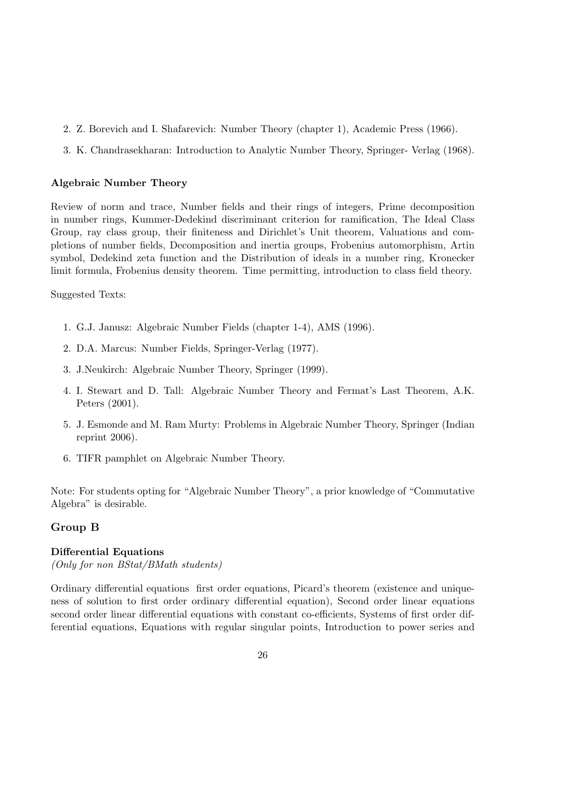- 2. Z. Borevich and I. Shafarevich: Number Theory (chapter 1), Academic Press (1966).
- 3. K. Chandrasekharan: Introduction to Analytic Number Theory, Springer- Verlag (1968).

#### Algebraic Number Theory

Review of norm and trace, Number fields and their rings of integers, Prime decomposition in number rings, Kummer-Dedekind discriminant criterion for ramification, The Ideal Class Group, ray class group, their finiteness and Dirichlet's Unit theorem, Valuations and completions of number fields, Decomposition and inertia groups, Frobenius automorphism, Artin symbol, Dedekind zeta function and the Distribution of ideals in a number ring, Kronecker limit formula, Frobenius density theorem. Time permitting, introduction to class field theory.

Suggested Texts:

- 1. G.J. Janusz: Algebraic Number Fields (chapter 1-4), AMS (1996).
- 2. D.A. Marcus: Number Fields, Springer-Verlag (1977).
- 3. J.Neukirch: Algebraic Number Theory, Springer (1999).
- 4. I. Stewart and D. Tall: Algebraic Number Theory and Fermat's Last Theorem, A.K. Peters (2001).
- 5. J. Esmonde and M. Ram Murty: Problems in Algebraic Number Theory, Springer (Indian reprint 2006).
- 6. TIFR pamphlet on Algebraic Number Theory.

Note: For students opting for "Algebraic Number Theory", a prior knowledge of "Commutative Algebra" is desirable.

#### Group B

#### Differential Equations

(Only for non BStat/BMath students)

Ordinary differential equations first order equations, Picard's theorem (existence and uniqueness of solution to first order ordinary differential equation), Second order linear equations second order linear differential equations with constant co-efficients, Systems of first order differential equations, Equations with regular singular points, Introduction to power series and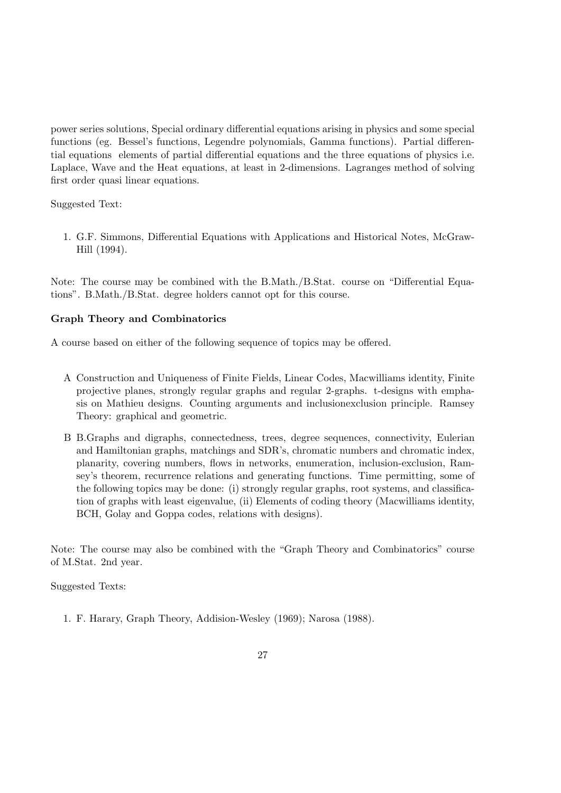power series solutions, Special ordinary differential equations arising in physics and some special functions (eg. Bessel's functions, Legendre polynomials, Gamma functions). Partial differential equations elements of partial differential equations and the three equations of physics i.e. Laplace, Wave and the Heat equations, at least in 2-dimensions. Lagranges method of solving first order quasi linear equations.

Suggested Text:

1. G.F. Simmons, Differential Equations with Applications and Historical Notes, McGraw-Hill (1994).

Note: The course may be combined with the B.Math./B.Stat. course on "Differential Equations". B.Math./B.Stat. degree holders cannot opt for this course.

#### Graph Theory and Combinatorics

A course based on either of the following sequence of topics may be offered.

- A Construction and Uniqueness of Finite Fields, Linear Codes, Macwilliams identity, Finite projective planes, strongly regular graphs and regular 2-graphs. t-designs with emphasis on Mathieu designs. Counting arguments and inclusionexclusion principle. Ramsey Theory: graphical and geometric.
- B B.Graphs and digraphs, connectedness, trees, degree sequences, connectivity, Eulerian and Hamiltonian graphs, matchings and SDR's, chromatic numbers and chromatic index, planarity, covering numbers, flows in networks, enumeration, inclusion-exclusion, Ramsey's theorem, recurrence relations and generating functions. Time permitting, some of the following topics may be done: (i) strongly regular graphs, root systems, and classification of graphs with least eigenvalue, (ii) Elements of coding theory (Macwilliams identity, BCH, Golay and Goppa codes, relations with designs).

Note: The course may also be combined with the "Graph Theory and Combinatorics" course of M.Stat. 2nd year.

Suggested Texts:

1. F. Harary, Graph Theory, Addision-Wesley (1969); Narosa (1988).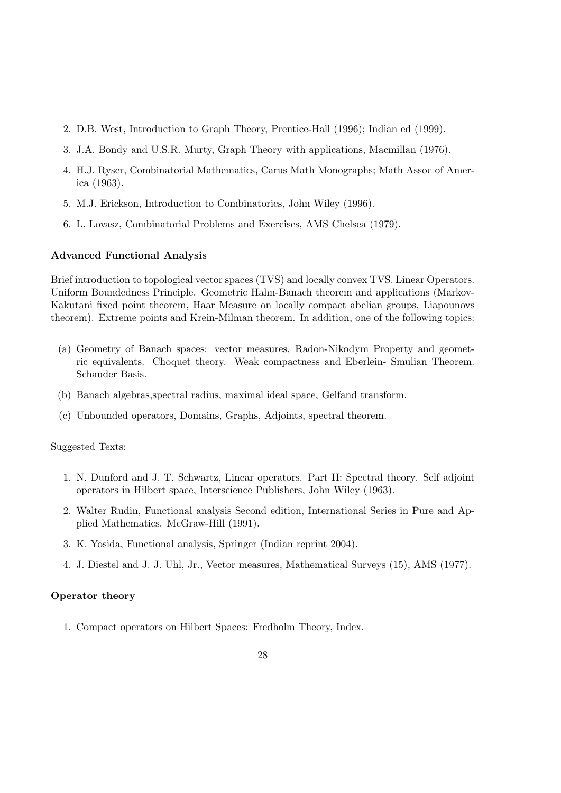- 2. D.B. West, Introduction to Graph Theory, Prentice-Hall (1996); Indian ed (1999).
- 3. J.A. Bondy and U.S.R. Murty, Graph Theory with applications, Macmillan (1976).
- 4. H.J. Ryser, Combinatorial Mathematics, Carus Math Monographs; Math Assoc of America (1963).
- 5. M.J. Erickson, Introduction to Combinatorics, John Wiley (1996).
- 6. L. Lovasz, Combinatorial Problems and Exercises, AMS Chelsea (1979).

#### Advanced Functional Analysis

Brief introduction to topological vector spaces (TVS) and locally convex TVS. Linear Operators. Uniform Boundedness Principle. Geometric Hahn-Banach theorem and applications (Markov-Kakutani fixed point theorem, Haar Measure on locally compact abelian groups, Liapounovs theorem). Extreme points and Krein-Milman theorem. In addition, one of the following topics:

- (a) Geometry of Banach spaces: vector measures, Radon-Nikodym Property and geometric equivalents. Choquet theory. Weak compactness and Eberlein- Smulian Theorem. Schauder Basis.
- (b) Banach algebras,spectral radius, maximal ideal space, Gelfand transform.
- (c) Unbounded operators, Domains, Graphs, Adjoints, spectral theorem.

Suggested Texts:

- 1. N. Dunford and J. T. Schwartz, Linear operators. Part II: Spectral theory. Self adjoint operators in Hilbert space, Interscience Publishers, John Wiley (1963).
- 2. Walter Rudin, Functional analysis Second edition, International Series in Pure and Applied Mathematics. McGraw-Hill (1991).
- 3. K. Yosida, Functional analysis, Springer (Indian reprint 2004).
- 4. J. Diestel and J. J. Uhl, Jr., Vector measures, Mathematical Surveys (15), AMS (1977).

#### Operator theory

1. Compact operators on Hilbert Spaces: Fredholm Theory, Index.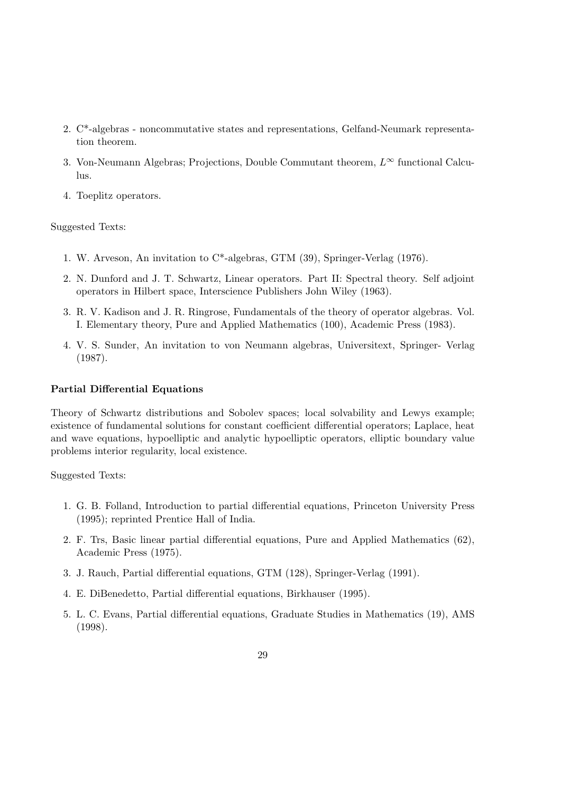- 2. C\*-algebras noncommutative states and representations, Gelfand-Neumark representation theorem.
- 3. Von-Neumann Algebras; Projections, Double Commutant theorem,  $L^{\infty}$  functional Calculus.
- 4. Toeplitz operators.

- 1. W. Arveson, An invitation to C\*-algebras, GTM (39), Springer-Verlag (1976).
- 2. N. Dunford and J. T. Schwartz, Linear operators. Part II: Spectral theory. Self adjoint operators in Hilbert space, Interscience Publishers John Wiley (1963).
- 3. R. V. Kadison and J. R. Ringrose, Fundamentals of the theory of operator algebras. Vol. I. Elementary theory, Pure and Applied Mathematics (100), Academic Press (1983).
- 4. V. S. Sunder, An invitation to von Neumann algebras, Universitext, Springer- Verlag (1987).

#### Partial Differential Equations

Theory of Schwartz distributions and Sobolev spaces; local solvability and Lewys example; existence of fundamental solutions for constant coefficient differential operators; Laplace, heat and wave equations, hypoelliptic and analytic hypoelliptic operators, elliptic boundary value problems interior regularity, local existence.

Suggested Texts:

- 1. G. B. Folland, Introduction to partial differential equations, Princeton University Press (1995); reprinted Prentice Hall of India.
- 2. F. Trs, Basic linear partial differential equations, Pure and Applied Mathematics (62), Academic Press (1975).
- 3. J. Rauch, Partial differential equations, GTM (128), Springer-Verlag (1991).
- 4. E. DiBenedetto, Partial differential equations, Birkhauser (1995).
- 5. L. C. Evans, Partial differential equations, Graduate Studies in Mathematics (19), AMS (1998).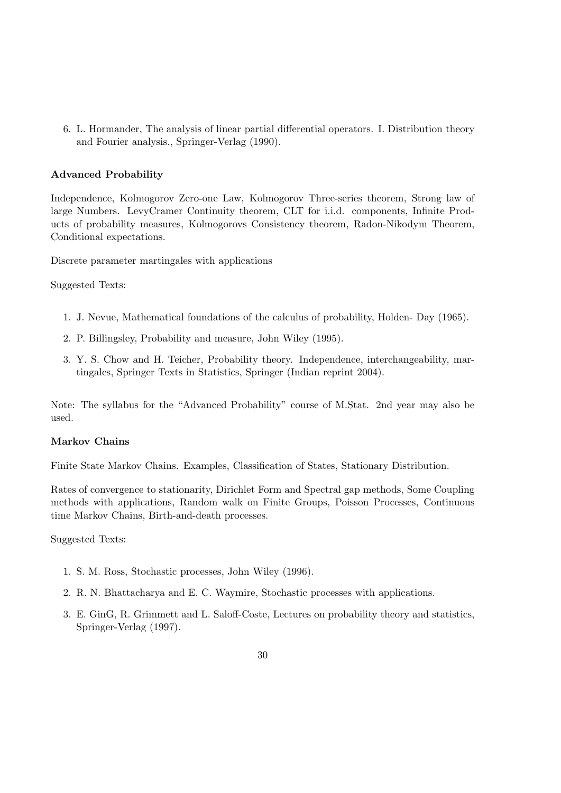6. L. Hormander, The analysis of linear partial differential operators. I. Distribution theory and Fourier analysis., Springer-Verlag (1990).

#### Advanced Probability

Independence, Kolmogorov Zero-one Law, Kolmogorov Three-series theorem, Strong law of large Numbers. LevyCramer Continuity theorem, CLT for i.i.d. components, Infinite Products of probability measures, Kolmogorovs Consistency theorem, Radon-Nikodym Theorem, Conditional expectations.

Discrete parameter martingales with applications

Suggested Texts:

- 1. J. Nevue, Mathematical foundations of the calculus of probability, Holden- Day (1965).
- 2. P. Billingsley, Probability and measure, John Wiley (1995).
- 3. Y. S. Chow and H. Teicher, Probability theory. Independence, interchangeability, martingales, Springer Texts in Statistics, Springer (Indian reprint 2004).

Note: The syllabus for the "Advanced Probability" course of M.Stat. 2nd year may also be used.

#### Markov Chains

Finite State Markov Chains. Examples, Classification of States, Stationary Distribution.

Rates of convergence to stationarity, Dirichlet Form and Spectral gap methods, Some Coupling methods with applications, Random walk on Finite Groups, Poisson Processes, Continuous time Markov Chains, Birth-and-death processes.

Suggested Texts:

- 1. S. M. Ross, Stochastic processes, John Wiley (1996).
- 2. R. N. Bhattacharya and E. C. Waymire, Stochastic processes with applications.
- 3. E. GinG, R. Grimmett and L. Saloff-Coste, Lectures on probability theory and statistics, Springer-Verlag (1997).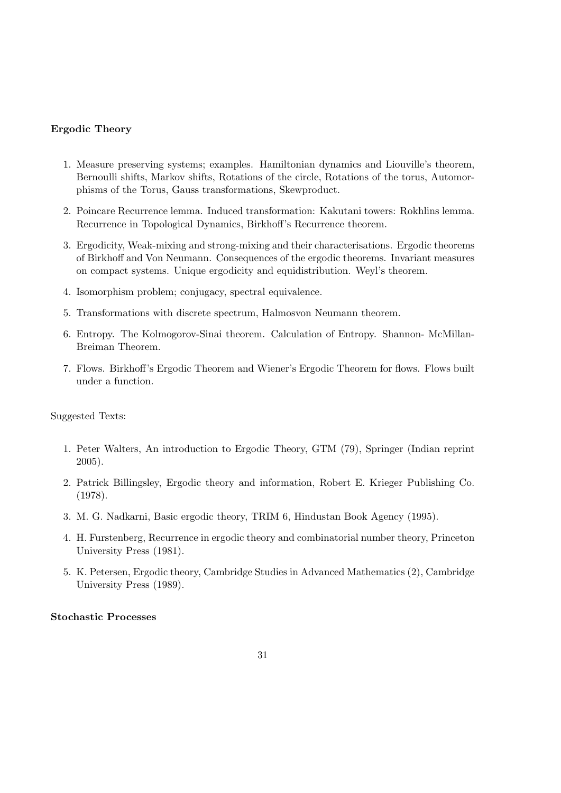#### Ergodic Theory

- 1. Measure preserving systems; examples. Hamiltonian dynamics and Liouville's theorem, Bernoulli shifts, Markov shifts, Rotations of the circle, Rotations of the torus, Automorphisms of the Torus, Gauss transformations, Skewproduct.
- 2. Poincare Recurrence lemma. Induced transformation: Kakutani towers: Rokhlins lemma. Recurrence in Topological Dynamics, Birkhoff's Recurrence theorem.
- 3. Ergodicity, Weak-mixing and strong-mixing and their characterisations. Ergodic theorems of Birkhoff and Von Neumann. Consequences of the ergodic theorems. Invariant measures on compact systems. Unique ergodicity and equidistribution. Weyl's theorem.
- 4. Isomorphism problem; conjugacy, spectral equivalence.
- 5. Transformations with discrete spectrum, Halmosvon Neumann theorem.
- 6. Entropy. The Kolmogorov-Sinai theorem. Calculation of Entropy. Shannon- McMillan-Breiman Theorem.
- 7. Flows. Birkhoff's Ergodic Theorem and Wiener's Ergodic Theorem for flows. Flows built under a function.

Suggested Texts:

- 1. Peter Walters, An introduction to Ergodic Theory, GTM (79), Springer (Indian reprint 2005).
- 2. Patrick Billingsley, Ergodic theory and information, Robert E. Krieger Publishing Co. (1978).
- 3. M. G. Nadkarni, Basic ergodic theory, TRIM 6, Hindustan Book Agency (1995).
- 4. H. Furstenberg, Recurrence in ergodic theory and combinatorial number theory, Princeton University Press (1981).
- 5. K. Petersen, Ergodic theory, Cambridge Studies in Advanced Mathematics (2), Cambridge University Press (1989).

#### Stochastic Processes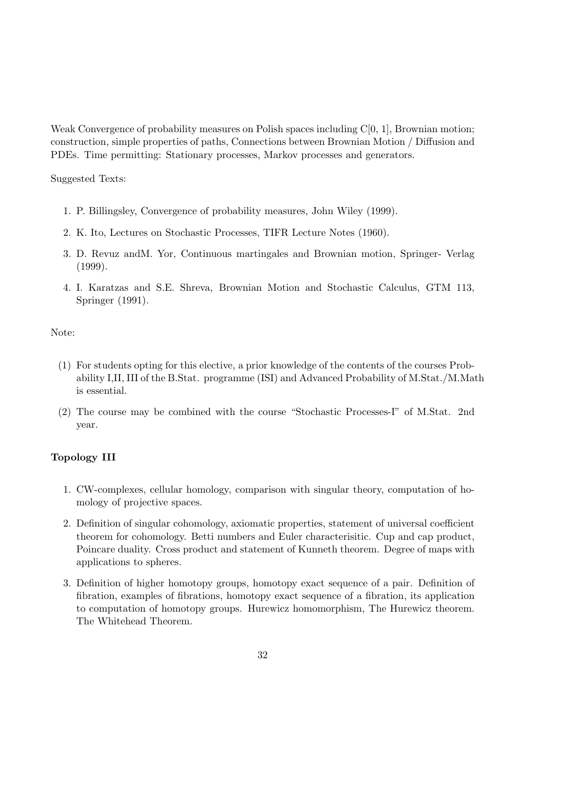Weak Convergence of probability measures on Polish spaces including  $C[0, 1]$ , Brownian motion; construction, simple properties of paths, Connections between Brownian Motion / Diffusion and PDEs. Time permitting: Stationary processes, Markov processes and generators.

Suggested Texts:

- 1. P. Billingsley, Convergence of probability measures, John Wiley (1999).
- 2. K. Ito, Lectures on Stochastic Processes, TIFR Lecture Notes (1960).
- 3. D. Revuz andM. Yor, Continuous martingales and Brownian motion, Springer- Verlag (1999).
- 4. I. Karatzas and S.E. Shreva, Brownian Motion and Stochastic Calculus, GTM 113, Springer (1991).

#### Note:

- (1) For students opting for this elective, a prior knowledge of the contents of the courses Probability I,II, III of the B.Stat. programme (ISI) and Advanced Probability of M.Stat./M.Math is essential.
- (2) The course may be combined with the course "Stochastic Processes-I" of M.Stat. 2nd year.

#### Topology III

- 1. CW-complexes, cellular homology, comparison with singular theory, computation of homology of projective spaces.
- 2. Definition of singular cohomology, axiomatic properties, statement of universal coefficient theorem for cohomology. Betti numbers and Euler characterisitic. Cup and cap product, Poincare duality. Cross product and statement of Kunneth theorem. Degree of maps with applications to spheres.
- 3. Definition of higher homotopy groups, homotopy exact sequence of a pair. Definition of fibration, examples of fibrations, homotopy exact sequence of a fibration, its application to computation of homotopy groups. Hurewicz homomorphism, The Hurewicz theorem. The Whitehead Theorem.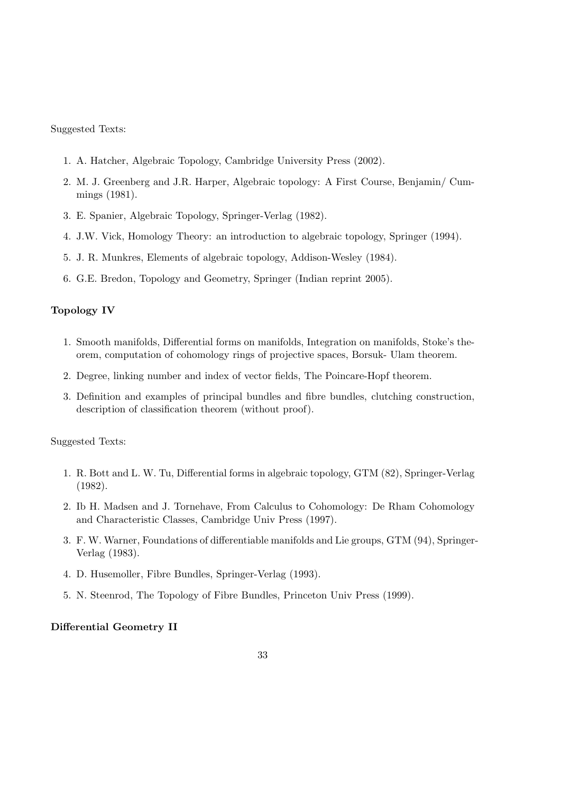- 1. A. Hatcher, Algebraic Topology, Cambridge University Press (2002).
- 2. M. J. Greenberg and J.R. Harper, Algebraic topology: A First Course, Benjamin/ Cummings (1981).
- 3. E. Spanier, Algebraic Topology, Springer-Verlag (1982).
- 4. J.W. Vick, Homology Theory: an introduction to algebraic topology, Springer (1994).
- 5. J. R. Munkres, Elements of algebraic topology, Addison-Wesley (1984).
- 6. G.E. Bredon, Topology and Geometry, Springer (Indian reprint 2005).

#### Topology IV

- 1. Smooth manifolds, Differential forms on manifolds, Integration on manifolds, Stoke's theorem, computation of cohomology rings of projective spaces, Borsuk- Ulam theorem.
- 2. Degree, linking number and index of vector fields, The Poincare-Hopf theorem.
- 3. Definition and examples of principal bundles and fibre bundles, clutching construction, description of classification theorem (without proof).

Suggested Texts:

- 1. R. Bott and L. W. Tu, Differential forms in algebraic topology, GTM (82), Springer-Verlag (1982).
- 2. Ib H. Madsen and J. Tornehave, From Calculus to Cohomology: De Rham Cohomology and Characteristic Classes, Cambridge Univ Press (1997).
- 3. F. W. Warner, Foundations of differentiable manifolds and Lie groups, GTM (94), Springer-Verlag (1983).
- 4. D. Husemoller, Fibre Bundles, Springer-Verlag (1993).
- 5. N. Steenrod, The Topology of Fibre Bundles, Princeton Univ Press (1999).

#### Differential Geometry II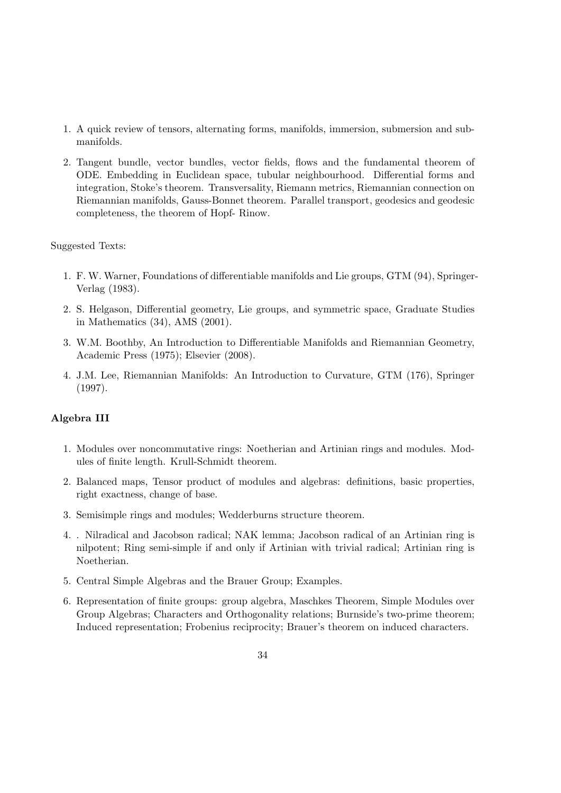- 1. A quick review of tensors, alternating forms, manifolds, immersion, submersion and submanifolds.
- 2. Tangent bundle, vector bundles, vector fields, flows and the fundamental theorem of ODE. Embedding in Euclidean space, tubular neighbourhood. Differential forms and integration, Stoke's theorem. Transversality, Riemann metrics, Riemannian connection on Riemannian manifolds, Gauss-Bonnet theorem. Parallel transport, geodesics and geodesic completeness, the theorem of Hopf- Rinow.

- 1. F. W. Warner, Foundations of differentiable manifolds and Lie groups, GTM (94), Springer-Verlag (1983).
- 2. S. Helgason, Differential geometry, Lie groups, and symmetric space, Graduate Studies in Mathematics (34), AMS (2001).
- 3. W.M. Boothby, An Introduction to Differentiable Manifolds and Riemannian Geometry, Academic Press (1975); Elsevier (2008).
- 4. J.M. Lee, Riemannian Manifolds: An Introduction to Curvature, GTM (176), Springer (1997).

#### Algebra III

- 1. Modules over noncommutative rings: Noetherian and Artinian rings and modules. Modules of finite length. Krull-Schmidt theorem.
- 2. Balanced maps, Tensor product of modules and algebras: definitions, basic properties, right exactness, change of base.
- 3. Semisimple rings and modules; Wedderburns structure theorem.
- 4. . Nilradical and Jacobson radical; NAK lemma; Jacobson radical of an Artinian ring is nilpotent; Ring semi-simple if and only if Artinian with trivial radical; Artinian ring is Noetherian.
- 5. Central Simple Algebras and the Brauer Group; Examples.
- 6. Representation of finite groups: group algebra, Maschkes Theorem, Simple Modules over Group Algebras; Characters and Orthogonality relations; Burnside's two-prime theorem; Induced representation; Frobenius reciprocity; Brauer's theorem on induced characters.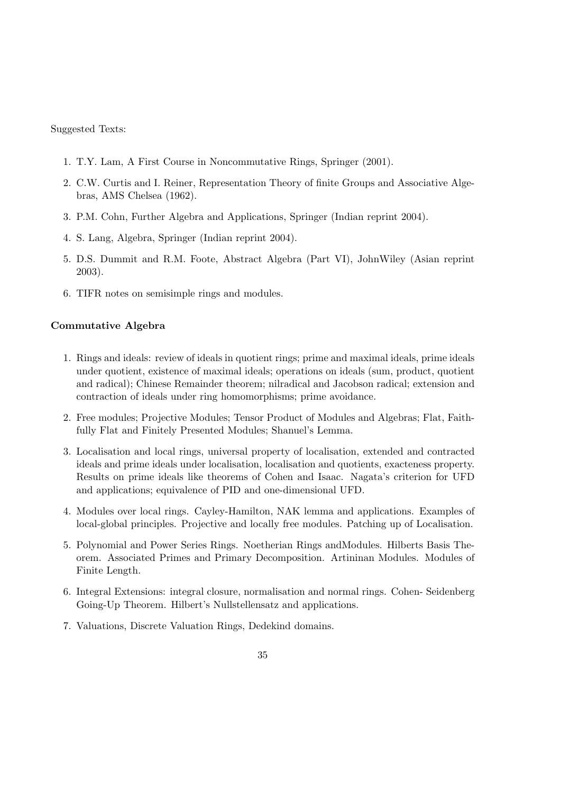- 1. T.Y. Lam, A First Course in Noncommutative Rings, Springer (2001).
- 2. C.W. Curtis and I. Reiner, Representation Theory of finite Groups and Associative Algebras, AMS Chelsea (1962).
- 3. P.M. Cohn, Further Algebra and Applications, Springer (Indian reprint 2004).
- 4. S. Lang, Algebra, Springer (Indian reprint 2004).
- 5. D.S. Dummit and R.M. Foote, Abstract Algebra (Part VI), JohnWiley (Asian reprint 2003).
- 6. TIFR notes on semisimple rings and modules.

#### Commutative Algebra

- 1. Rings and ideals: review of ideals in quotient rings; prime and maximal ideals, prime ideals under quotient, existence of maximal ideals; operations on ideals (sum, product, quotient and radical); Chinese Remainder theorem; nilradical and Jacobson radical; extension and contraction of ideals under ring homomorphisms; prime avoidance.
- 2. Free modules; Projective Modules; Tensor Product of Modules and Algebras; Flat, Faithfully Flat and Finitely Presented Modules; Shanuel's Lemma.
- 3. Localisation and local rings, universal property of localisation, extended and contracted ideals and prime ideals under localisation, localisation and quotients, exacteness property. Results on prime ideals like theorems of Cohen and Isaac. Nagata's criterion for UFD and applications; equivalence of PID and one-dimensional UFD.
- 4. Modules over local rings. Cayley-Hamilton, NAK lemma and applications. Examples of local-global principles. Projective and locally free modules. Patching up of Localisation.
- 5. Polynomial and Power Series Rings. Noetherian Rings andModules. Hilberts Basis Theorem. Associated Primes and Primary Decomposition. Artininan Modules. Modules of Finite Length.
- 6. Integral Extensions: integral closure, normalisation and normal rings. Cohen- Seidenberg Going-Up Theorem. Hilbert's Nullstellensatz and applications.
- 7. Valuations, Discrete Valuation Rings, Dedekind domains.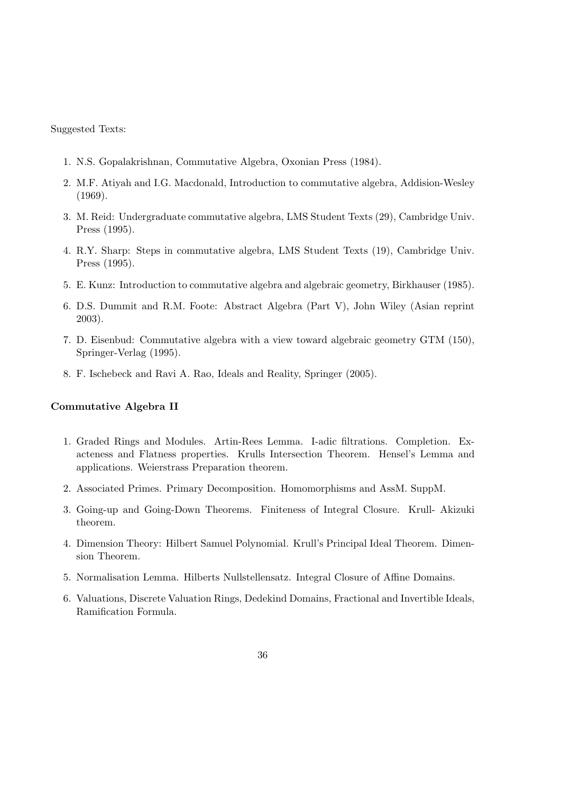- 1. N.S. Gopalakrishnan, Commutative Algebra, Oxonian Press (1984).
- 2. M.F. Atiyah and I.G. Macdonald, Introduction to commutative algebra, Addision-Wesley (1969).
- 3. M. Reid: Undergraduate commutative algebra, LMS Student Texts (29), Cambridge Univ. Press (1995).
- 4. R.Y. Sharp: Steps in commutative algebra, LMS Student Texts (19), Cambridge Univ. Press (1995).
- 5. E. Kunz: Introduction to commutative algebra and algebraic geometry, Birkhauser (1985).
- 6. D.S. Dummit and R.M. Foote: Abstract Algebra (Part V), John Wiley (Asian reprint 2003).
- 7. D. Eisenbud: Commutative algebra with a view toward algebraic geometry GTM (150), Springer-Verlag (1995).
- 8. F. Ischebeck and Ravi A. Rao, Ideals and Reality, Springer (2005).

#### Commutative Algebra II

- 1. Graded Rings and Modules. Artin-Rees Lemma. I-adic filtrations. Completion. Exacteness and Flatness properties. Krulls Intersection Theorem. Hensel's Lemma and applications. Weierstrass Preparation theorem.
- 2. Associated Primes. Primary Decomposition. Homomorphisms and AssM. SuppM.
- 3. Going-up and Going-Down Theorems. Finiteness of Integral Closure. Krull- Akizuki theorem.
- 4. Dimension Theory: Hilbert Samuel Polynomial. Krull's Principal Ideal Theorem. Dimension Theorem.
- 5. Normalisation Lemma. Hilberts Nullstellensatz. Integral Closure of Affine Domains.
- 6. Valuations, Discrete Valuation Rings, Dedekind Domains, Fractional and Invertible Ideals, Ramification Formula.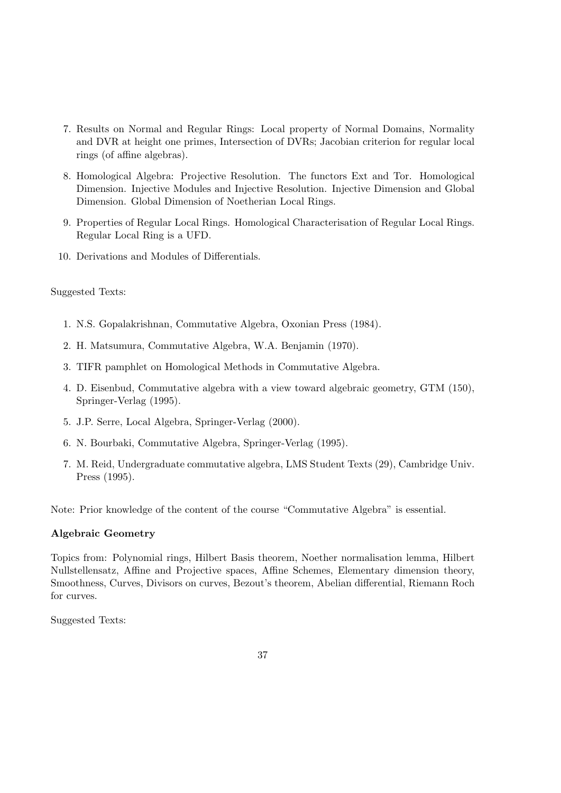- 7. Results on Normal and Regular Rings: Local property of Normal Domains, Normality and DVR at height one primes, Intersection of DVRs; Jacobian criterion for regular local rings (of affine algebras).
- 8. Homological Algebra: Projective Resolution. The functors Ext and Tor. Homological Dimension. Injective Modules and Injective Resolution. Injective Dimension and Global Dimension. Global Dimension of Noetherian Local Rings.
- 9. Properties of Regular Local Rings. Homological Characterisation of Regular Local Rings. Regular Local Ring is a UFD.
- 10. Derivations and Modules of Differentials.

- 1. N.S. Gopalakrishnan, Commutative Algebra, Oxonian Press (1984).
- 2. H. Matsumura, Commutative Algebra, W.A. Benjamin (1970).
- 3. TIFR pamphlet on Homological Methods in Commutative Algebra.
- 4. D. Eisenbud, Commutative algebra with a view toward algebraic geometry, GTM (150), Springer-Verlag (1995).
- 5. J.P. Serre, Local Algebra, Springer-Verlag (2000).
- 6. N. Bourbaki, Commutative Algebra, Springer-Verlag (1995).
- 7. M. Reid, Undergraduate commutative algebra, LMS Student Texts (29), Cambridge Univ. Press (1995).

Note: Prior knowledge of the content of the course "Commutative Algebra" is essential.

#### Algebraic Geometry

Topics from: Polynomial rings, Hilbert Basis theorem, Noether normalisation lemma, Hilbert Nullstellensatz, Affine and Projective spaces, Affine Schemes, Elementary dimension theory, Smoothness, Curves, Divisors on curves, Bezout's theorem, Abelian differential, Riemann Roch for curves.

Suggested Texts: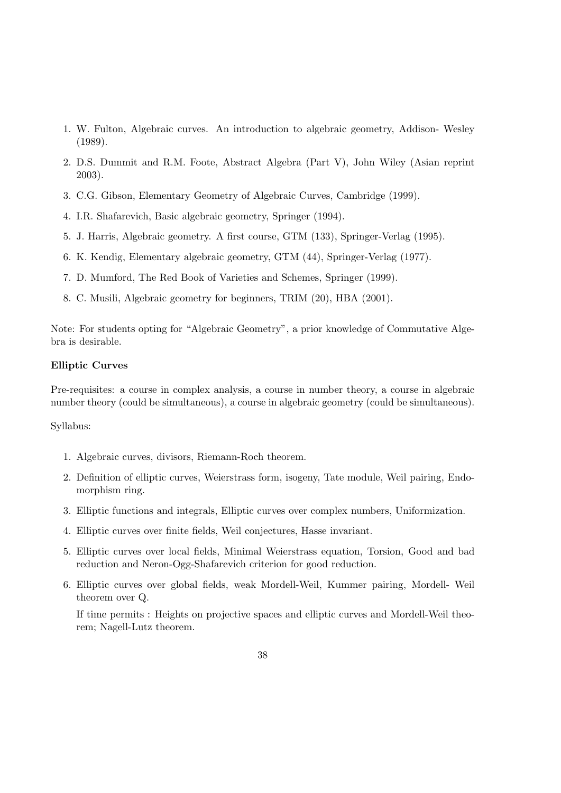- 1. W. Fulton, Algebraic curves. An introduction to algebraic geometry, Addison- Wesley (1989).
- 2. D.S. Dummit and R.M. Foote, Abstract Algebra (Part V), John Wiley (Asian reprint 2003).
- 3. C.G. Gibson, Elementary Geometry of Algebraic Curves, Cambridge (1999).
- 4. I.R. Shafarevich, Basic algebraic geometry, Springer (1994).
- 5. J. Harris, Algebraic geometry. A first course, GTM (133), Springer-Verlag (1995).
- 6. K. Kendig, Elementary algebraic geometry, GTM (44), Springer-Verlag (1977).
- 7. D. Mumford, The Red Book of Varieties and Schemes, Springer (1999).
- 8. C. Musili, Algebraic geometry for beginners, TRIM (20), HBA (2001).

Note: For students opting for "Algebraic Geometry", a prior knowledge of Commutative Algebra is desirable.

#### Elliptic Curves

Pre-requisites: a course in complex analysis, a course in number theory, a course in algebraic number theory (could be simultaneous), a course in algebraic geometry (could be simultaneous).

#### Syllabus:

- 1. Algebraic curves, divisors, Riemann-Roch theorem.
- 2. Definition of elliptic curves, Weierstrass form, isogeny, Tate module, Weil pairing, Endomorphism ring.
- 3. Elliptic functions and integrals, Elliptic curves over complex numbers, Uniformization.
- 4. Elliptic curves over finite fields, Weil conjectures, Hasse invariant.
- 5. Elliptic curves over local fields, Minimal Weierstrass equation, Torsion, Good and bad reduction and Neron-Ogg-Shafarevich criterion for good reduction.
- 6. Elliptic curves over global fields, weak Mordell-Weil, Kummer pairing, Mordell- Weil theorem over Q.

If time permits : Heights on projective spaces and elliptic curves and Mordell-Weil theorem; Nagell-Lutz theorem.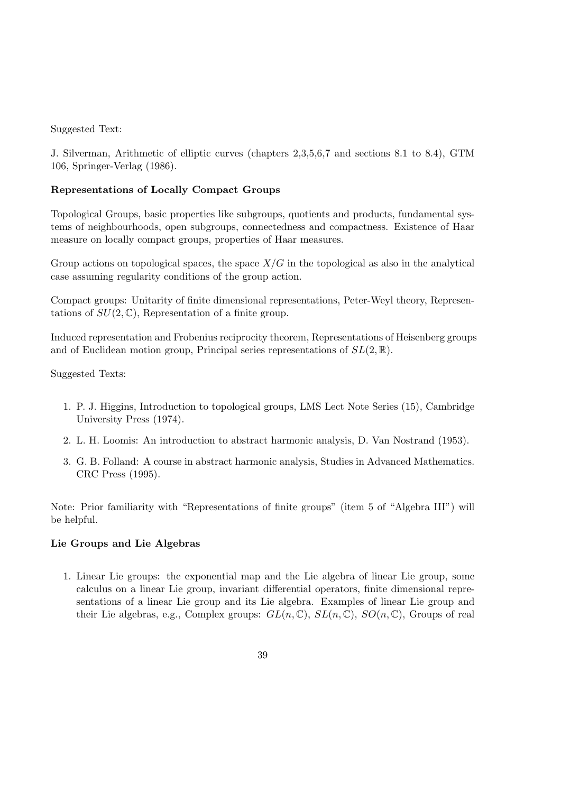J. Silverman, Arithmetic of elliptic curves (chapters 2,3,5,6,7 and sections 8.1 to 8.4), GTM 106, Springer-Verlag (1986).

#### Representations of Locally Compact Groups

Topological Groups, basic properties like subgroups, quotients and products, fundamental systems of neighbourhoods, open subgroups, connectedness and compactness. Existence of Haar measure on locally compact groups, properties of Haar measures.

Group actions on topological spaces, the space  $X/G$  in the topological as also in the analytical case assuming regularity conditions of the group action.

Compact groups: Unitarity of finite dimensional representations, Peter-Weyl theory, Representations of  $SU(2,\mathbb{C})$ , Representation of a finite group.

Induced representation and Frobenius reciprocity theorem, Representations of Heisenberg groups and of Euclidean motion group, Principal series representations of  $SL(2,\mathbb{R})$ .

#### Suggested Texts:

- 1. P. J. Higgins, Introduction to topological groups, LMS Lect Note Series (15), Cambridge University Press (1974).
- 2. L. H. Loomis: An introduction to abstract harmonic analysis, D. Van Nostrand (1953).
- 3. G. B. Folland: A course in abstract harmonic analysis, Studies in Advanced Mathematics. CRC Press (1995).

Note: Prior familiarity with "Representations of finite groups" (item 5 of "Algebra III") will be helpful.

#### Lie Groups and Lie Algebras

1. Linear Lie groups: the exponential map and the Lie algebra of linear Lie group, some calculus on a linear Lie group, invariant differential operators, finite dimensional representations of a linear Lie group and its Lie algebra. Examples of linear Lie group and their Lie algebras, e.g., Complex groups:  $GL(n,\mathbb{C}), SL(n,\mathbb{C}), SO(n,\mathbb{C})$ , Groups of real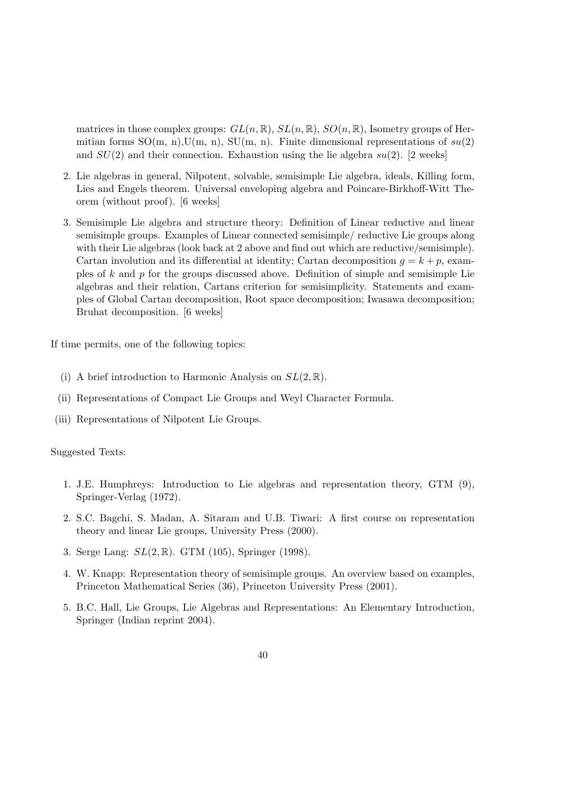matrices in those complex groups:  $GL(n,\mathbb{R})$ ,  $SL(n,\mathbb{R})$ ,  $SO(n,\mathbb{R})$ , Isometry groups of Hermitian forms  $SO(m, n), U(m, n), SU(m, n)$ . Finite dimensional representations of  $su(2)$ and  $SU(2)$  and their connection. Exhaustion using the lie algebra  $su(2)$ . [2 weeks]

- 2. Lie algebras in general, Nilpotent, solvable, semisimple Lie algebra, ideals, Killing form, Lies and Engels theorem. Universal enveloping algebra and Poincare-Birkhoff-Witt Theorem (without proof). [6 weeks]
- 3. Semisimple Lie algebra and structure theory: Definition of Linear reductive and linear semisimple groups. Examples of Linear connected semisimple/ reductive Lie groups along with their Lie algebras (look back at 2 above and find out which are reductive/semisimple). Cartan involution and its differential at identity; Cartan decomposition  $q = k + p$ , examples of  $k$  and  $p$  for the groups discussed above. Definition of simple and semisimple Lie algebras and their relation, Cartans criterion for semisimplicity. Statements and examples of Global Cartan decomposition, Root space decomposition; Iwasawa decomposition; Bruhat decomposition. [6 weeks]

If time permits, one of the following topics:

- (i) A brief introduction to Harmonic Analysis on  $SL(2,\mathbb{R})$ .
- (ii) Representations of Compact Lie Groups and Weyl Character Formula.
- (iii) Representations of Nilpotent Lie Groups.

#### Suggested Texts:

- 1. J.E. Humphreys: Introduction to Lie algebras and representation theory, GTM (9), Springer-Verlag (1972).
- 2. S.C. Bagchi, S. Madan, A. Sitaram and U.B. Tiwari: A first course on representation theory and linear Lie groups, University Press (2000).
- 3. Serge Lang: SL(2, R). GTM (105), Springer (1998).
- 4. W. Knapp: Representation theory of semisimple groups. An overview based on examples, Princeton Mathematical Series (36), Princeton University Press (2001).
- 5. B.C. Hall, Lie Groups, Lie Algebras and Representations: An Elementary Introduction, Springer (Indian reprint 2004).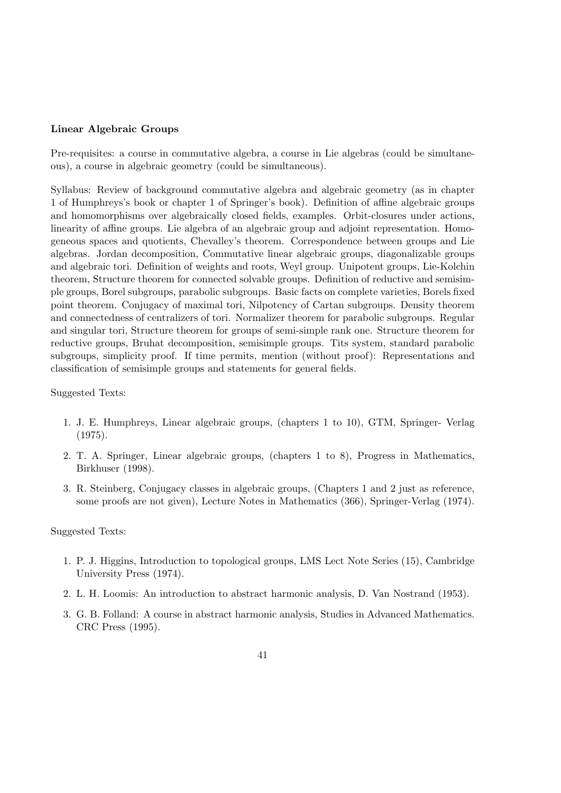#### Linear Algebraic Groups

Pre-requisites: a course in commutative algebra, a course in Lie algebras (could be simultaneous), a course in algebraic geometry (could be simultaneous).

Syllabus: Review of background commutative algebra and algebraic geometry (as in chapter 1 of Humphreys's book or chapter 1 of Springer's book). Definition of affine algebraic groups and homomorphisms over algebraically closed fields, examples. Orbit-closures under actions, linearity of affine groups. Lie algebra of an algebraic group and adjoint representation. Homogeneous spaces and quotients, Chevalley's theorem. Correspondence between groups and Lie algebras. Jordan decomposition, Commutative linear algebraic groups, diagonalizable groups and algebraic tori. Definition of weights and roots, Weyl group. Unipotent groups, Lie-Kolchin theorem, Structure theorem for connected solvable groups. Definition of reductive and semisimple groups, Borel subgroups, parabolic subgroups. Basic facts on complete varieties, Borels fixed point theorem. Conjugacy of maximal tori, Nilpotency of Cartan subgroups. Density theorem and connectedness of centralizers of tori. Normalizer theorem for parabolic subgroups. Regular and singular tori, Structure theorem for groups of semi-simple rank one. Structure theorem for reductive groups, Bruhat decomposition, semisimple groups. Tits system, standard parabolic subgroups, simplicity proof. If time permits, mention (without proof): Representations and classification of semisimple groups and statements for general fields.

#### Suggested Texts:

- 1. J. E. Humphreys, Linear algebraic groups, (chapters 1 to 10), GTM, Springer- Verlag (1975).
- 2. T. A. Springer, Linear algebraic groups, (chapters 1 to 8), Progress in Mathematics, Birkhuser (1998).
- 3. R. Steinberg, Conjugacy classes in algebraic groups, (Chapters 1 and 2 just as reference, some proofs are not given), Lecture Notes in Mathematics (366), Springer-Verlag (1974).

#### Suggested Texts:

- 1. P. J. Higgins, Introduction to topological groups, LMS Lect Note Series (15), Cambridge University Press (1974).
- 2. L. H. Loomis: An introduction to abstract harmonic analysis, D. Van Nostrand (1953).
- 3. G. B. Folland: A course in abstract harmonic analysis, Studies in Advanced Mathematics. CRC Press (1995).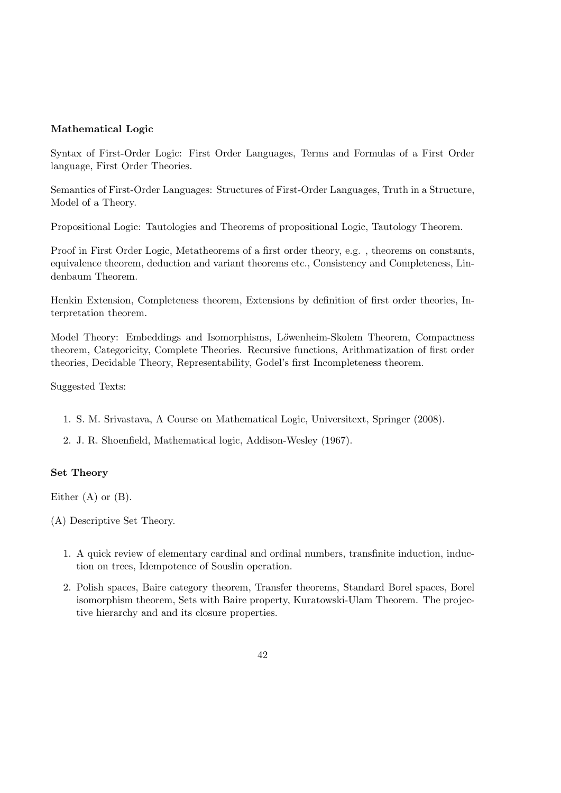#### Mathematical Logic

Syntax of First-Order Logic: First Order Languages, Terms and Formulas of a First Order language, First Order Theories.

Semantics of First-Order Languages: Structures of First-Order Languages, Truth in a Structure, Model of a Theory.

Propositional Logic: Tautologies and Theorems of propositional Logic, Tautology Theorem.

Proof in First Order Logic, Metatheorems of a first order theory, e.g. , theorems on constants, equivalence theorem, deduction and variant theorems etc., Consistency and Completeness, Lindenbaum Theorem.

Henkin Extension, Completeness theorem, Extensions by definition of first order theories, Interpretation theorem.

Model Theory: Embeddings and Isomorphisms, Löwenheim-Skolem Theorem, Compactness theorem, Categoricity, Complete Theories. Recursive functions, Arithmatization of first order theories, Decidable Theory, Representability, Godel's first Incompleteness theorem.

Suggested Texts:

- 1. S. M. Srivastava, A Course on Mathematical Logic, Universitext, Springer (2008).
- 2. J. R. Shoenfield, Mathematical logic, Addison-Wesley (1967).

#### Set Theory

Either  $(A)$  or  $(B)$ .

(A) Descriptive Set Theory.

- 1. A quick review of elementary cardinal and ordinal numbers, transfinite induction, induction on trees, Idempotence of Souslin operation.
- 2. Polish spaces, Baire category theorem, Transfer theorems, Standard Borel spaces, Borel isomorphism theorem, Sets with Baire property, Kuratowski-Ulam Theorem. The projective hierarchy and and its closure properties.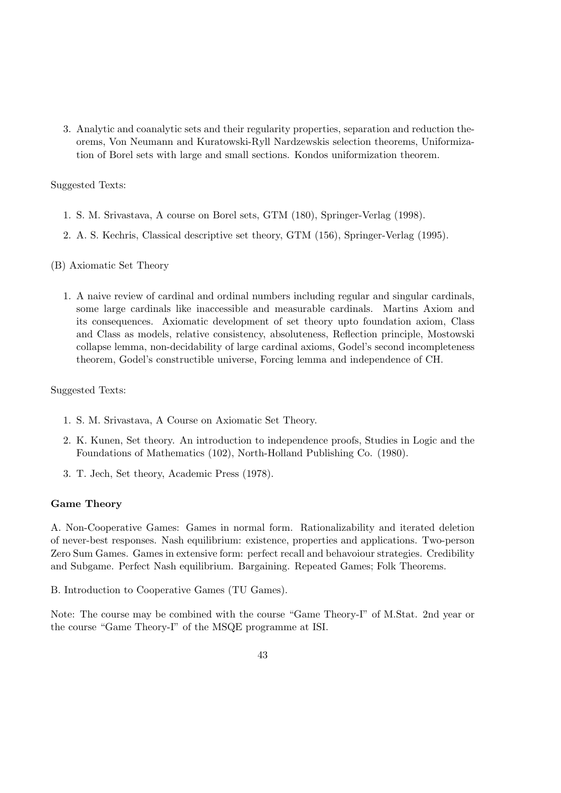3. Analytic and coanalytic sets and their regularity properties, separation and reduction theorems, Von Neumann and Kuratowski-Ryll Nardzewskis selection theorems, Uniformization of Borel sets with large and small sections. Kondos uniformization theorem.

#### Suggested Texts:

- 1. S. M. Srivastava, A course on Borel sets, GTM (180), Springer-Verlag (1998).
- 2. A. S. Kechris, Classical descriptive set theory, GTM (156), Springer-Verlag (1995).
- (B) Axiomatic Set Theory
	- 1. A naive review of cardinal and ordinal numbers including regular and singular cardinals, some large cardinals like inaccessible and measurable cardinals. Martins Axiom and its consequences. Axiomatic development of set theory upto foundation axiom, Class and Class as models, relative consistency, absoluteness, Reflection principle, Mostowski collapse lemma, non-decidability of large cardinal axioms, Godel's second incompleteness theorem, Godel's constructible universe, Forcing lemma and independence of CH.

#### Suggested Texts:

- 1. S. M. Srivastava, A Course on Axiomatic Set Theory.
- 2. K. Kunen, Set theory. An introduction to independence proofs, Studies in Logic and the Foundations of Mathematics (102), North-Holland Publishing Co. (1980).
- 3. T. Jech, Set theory, Academic Press (1978).

#### Game Theory

A. Non-Cooperative Games: Games in normal form. Rationalizability and iterated deletion of never-best responses. Nash equilibrium: existence, properties and applications. Two-person Zero Sum Games. Games in extensive form: perfect recall and behavoiour strategies. Credibility and Subgame. Perfect Nash equilibrium. Bargaining. Repeated Games; Folk Theorems.

B. Introduction to Cooperative Games (TU Games).

Note: The course may be combined with the course "Game Theory-I" of M.Stat. 2nd year or the course "Game Theory-I" of the MSQE programme at ISI.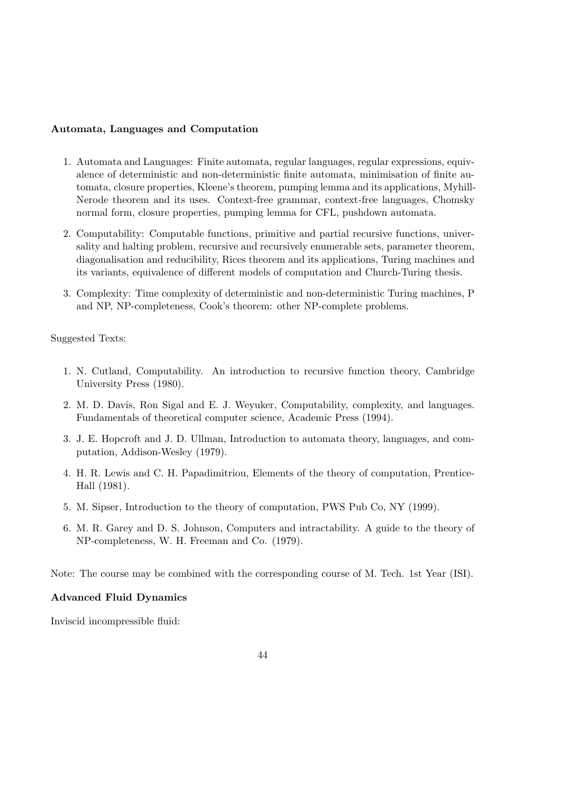#### Automata, Languages and Computation

- 1. Automata and Languages: Finite automata, regular languages, regular expressions, equivalence of deterministic and non-deterministic finite automata, minimisation of finite automata, closure properties, Kleene's theorem, pumping lemma and its applications, Myhill-Nerode theorem and its uses. Context-free grammar, context-free languages, Chomsky normal form, closure properties, pumping lemma for CFL, pushdown automata.
- 2. Computability: Computable functions, primitive and partial recursive functions, universality and halting problem, recursive and recursively enumerable sets, parameter theorem, diagonalisation and reducibility, Rices theorem and its applications, Turing machines and its variants, equivalence of different models of computation and Church-Turing thesis.
- 3. Complexity: Time complexity of deterministic and non-deterministic Turing machines, P and NP, NP-completeness, Cook's theorem: other NP-complete problems.

#### Suggested Texts:

- 1. N. Cutland, Computability. An introduction to recursive function theory, Cambridge University Press (1980).
- 2. M. D. Davis, Ron Sigal and E. J. Weyuker, Computability, complexity, and languages. Fundamentals of theoretical computer science, Academic Press (1994).
- 3. J. E. Hopcroft and J. D. Ullman, Introduction to automata theory, languages, and computation, Addison-Wesley (1979).
- 4. H. R. Lewis and C. H. Papadimitriou, Elements of the theory of computation, Prentice-Hall (1981).
- 5. M. Sipser, Introduction to the theory of computation, PWS Pub Co, NY (1999).
- 6. M. R. Garey and D. S. Johnson, Computers and intractability. A guide to the theory of NP-completeness, W. H. Freeman and Co. (1979).

Note: The course may be combined with the corresponding course of M. Tech. 1st Year (ISI).

#### Advanced Fluid Dynamics

Inviscid incompressible fluid: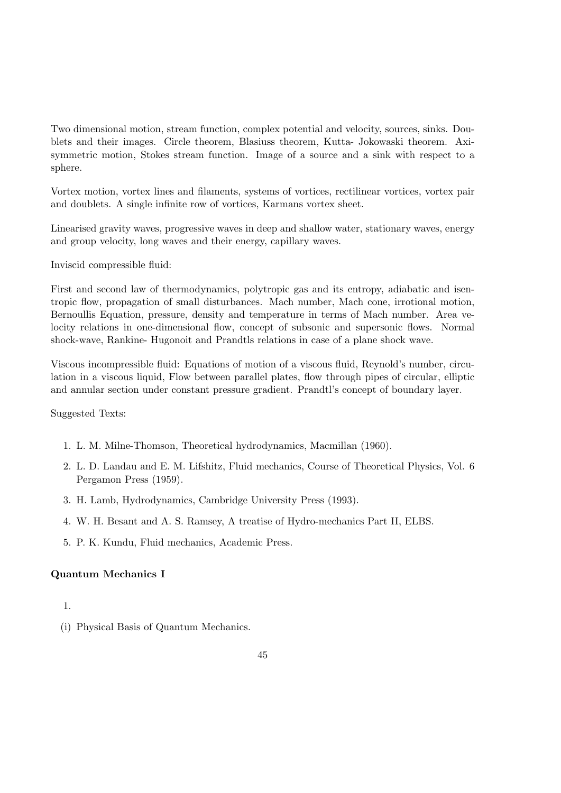Two dimensional motion, stream function, complex potential and velocity, sources, sinks. Doublets and their images. Circle theorem, Blasiuss theorem, Kutta- Jokowaski theorem. Axisymmetric motion, Stokes stream function. Image of a source and a sink with respect to a sphere.

Vortex motion, vortex lines and filaments, systems of vortices, rectilinear vortices, vortex pair and doublets. A single infinite row of vortices, Karmans vortex sheet.

Linearised gravity waves, progressive waves in deep and shallow water, stationary waves, energy and group velocity, long waves and their energy, capillary waves.

Inviscid compressible fluid:

First and second law of thermodynamics, polytropic gas and its entropy, adiabatic and isentropic flow, propagation of small disturbances. Mach number, Mach cone, irrotional motion, Bernoullis Equation, pressure, density and temperature in terms of Mach number. Area velocity relations in one-dimensional flow, concept of subsonic and supersonic flows. Normal shock-wave, Rankine- Hugonoit and Prandtls relations in case of a plane shock wave.

Viscous incompressible fluid: Equations of motion of a viscous fluid, Reynold's number, circulation in a viscous liquid, Flow between parallel plates, flow through pipes of circular, elliptic and annular section under constant pressure gradient. Prandtl's concept of boundary layer.

Suggested Texts:

- 1. L. M. Milne-Thomson, Theoretical hydrodynamics, Macmillan (1960).
- 2. L. D. Landau and E. M. Lifshitz, Fluid mechanics, Course of Theoretical Physics, Vol. 6 Pergamon Press (1959).
- 3. H. Lamb, Hydrodynamics, Cambridge University Press (1993).
- 4. W. H. Besant and A. S. Ramsey, A treatise of Hydro-mechanics Part II, ELBS.
- 5. P. K. Kundu, Fluid mechanics, Academic Press.

#### Quantum Mechanics I

#### 1.

(i) Physical Basis of Quantum Mechanics.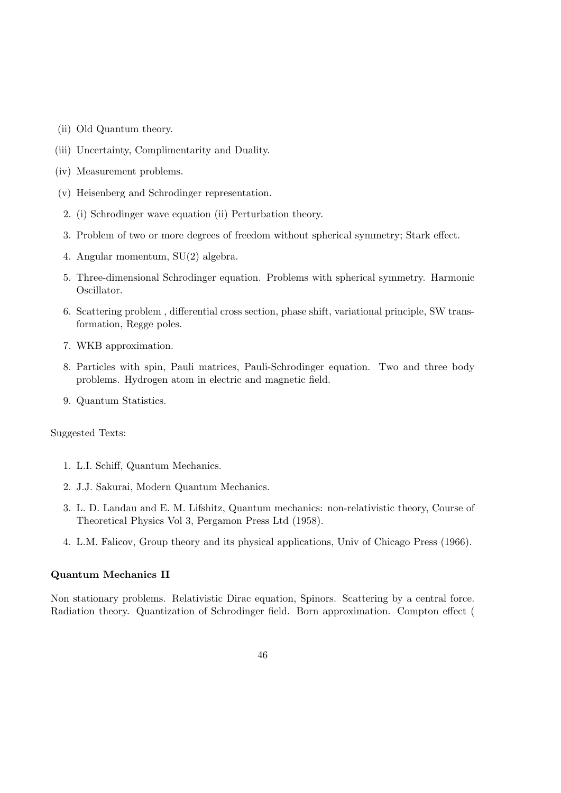- (ii) Old Quantum theory.
- (iii) Uncertainty, Complimentarity and Duality.
- (iv) Measurement problems.
- (v) Heisenberg and Schrodinger representation.
- 2. (i) Schrodinger wave equation (ii) Perturbation theory.
- 3. Problem of two or more degrees of freedom without spherical symmetry; Stark effect.
- 4. Angular momentum, SU(2) algebra.
- 5. Three-dimensional Schrodinger equation. Problems with spherical symmetry. Harmonic Oscillator.
- 6. Scattering problem , differential cross section, phase shift, variational principle, SW transformation, Regge poles.
- 7. WKB approximation.
- 8. Particles with spin, Pauli matrices, Pauli-Schrodinger equation. Two and three body problems. Hydrogen atom in electric and magnetic field.
- 9. Quantum Statistics.

- 1. L.I. Schiff, Quantum Mechanics.
- 2. J.J. Sakurai, Modern Quantum Mechanics.
- 3. L. D. Landau and E. M. Lifshitz, Quantum mechanics: non-relativistic theory, Course of Theoretical Physics Vol 3, Pergamon Press Ltd (1958).
- 4. L.M. Falicov, Group theory and its physical applications, Univ of Chicago Press (1966).

#### Quantum Mechanics II

Non stationary problems. Relativistic Dirac equation, Spinors. Scattering by a central force. Radiation theory. Quantization of Schrodinger field. Born approximation. Compton effect (